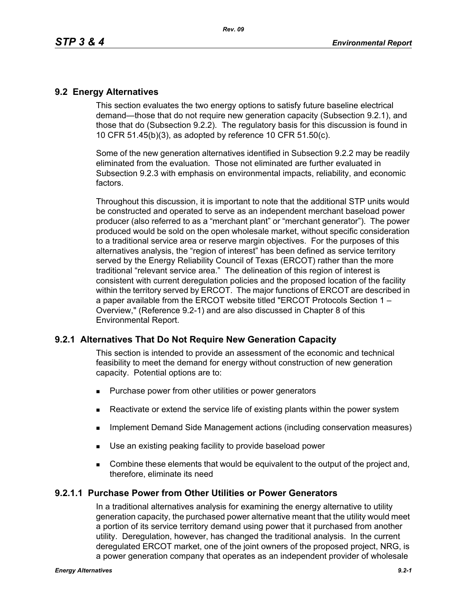## **9.2 Energy Alternatives**

This section evaluates the two energy options to satisfy future baseline electrical demand—those that do not require new generation capacity (Subsection 9.2.1), and those that do (Subsection 9.2.2). The regulatory basis for this discussion is found in 10 CFR 51.45(b)(3), as adopted by reference 10 CFR 51.50(c).

Some of the new generation alternatives identified in Subsection 9.2.2 may be readily eliminated from the evaluation. Those not eliminated are further evaluated in Subsection 9.2.3 with emphasis on environmental impacts, reliability, and economic factors.

Throughout this discussion, it is important to note that the additional STP units would be constructed and operated to serve as an independent merchant baseload power producer (also referred to as a "merchant plant" or "merchant generator"). The power produced would be sold on the open wholesale market, without specific consideration to a traditional service area or reserve margin objectives. For the purposes of this alternatives analysis, the "region of interest" has been defined as service territory served by the Energy Reliability Council of Texas (ERCOT) rather than the more traditional "relevant service area." The delineation of this region of interest is consistent with current deregulation policies and the proposed location of the facility within the territory served by ERCOT. The major functions of ERCOT are described in a paper available from the ERCOT website titled "ERCOT Protocols Section 1 – Overview," (Reference 9.2-1) and are also discussed in Chapter 8 of this Environmental Report.

# **9.2.1 Alternatives That Do Not Require New Generation Capacity**

This section is intended to provide an assessment of the economic and technical feasibility to meet the demand for energy without construction of new generation capacity. Potential options are to:

- **Purchase power from other utilities or power generators**
- **EXECT** Reactivate or extend the service life of existing plants within the power system
- **IMPLEMENTER IMMORGHT MANAGEM INCOCONSTREED IN A THE IMMORGHT IMMORGHT INCOCONSTREED IMMORGHT INCOCONSTREED IMMORGHT INCOCONSTREED IMMORGHT INCOCONSTREED IMMORGHT INCOCONSTREED IMMORGHT INCOCONSTREED IMMORGHT INCOCONSTREED**
- Use an existing peaking facility to provide baseload power
- **Combine these elements that would be equivalent to the output of the project and,** therefore, eliminate its need

## **9.2.1.1 Purchase Power from Other Utilities or Power Generators**

In a traditional alternatives analysis for examining the energy alternative to utility generation capacity, the purchased power alternative meant that the utility would meet a portion of its service territory demand using power that it purchased from another utility. Deregulation, however, has changed the traditional analysis. In the current deregulated ERCOT market, one of the joint owners of the proposed project, NRG, is a power generation company that operates as an independent provider of wholesale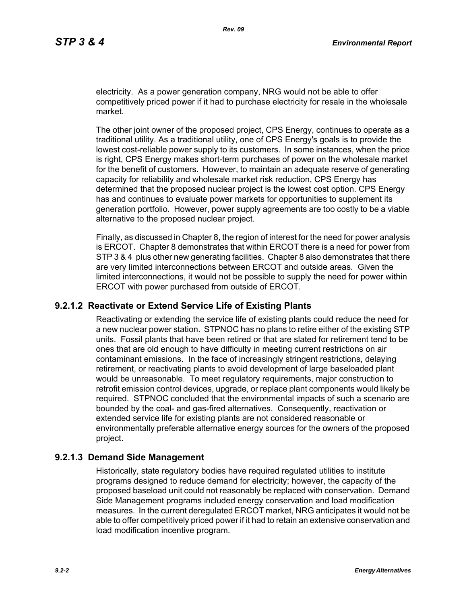electricity. As a power generation company, NRG would not be able to offer competitively priced power if it had to purchase electricity for resale in the wholesale market.

The other joint owner of the proposed project, CPS Energy, continues to operate as a traditional utility. As a traditional utility, one of CPS Energy's goals is to provide the lowest cost-reliable power supply to its customers. In some instances, when the price is right, CPS Energy makes short-term purchases of power on the wholesale market for the benefit of customers. However, to maintain an adequate reserve of generating capacity for reliability and wholesale market risk reduction, CPS Energy has determined that the proposed nuclear project is the lowest cost option. CPS Energy has and continues to evaluate power markets for opportunities to supplement its generation portfolio. However, power supply agreements are too costly to be a viable alternative to the proposed nuclear project.

Finally, as discussed in Chapter 8, the region of interest for the need for power analysis is ERCOT. Chapter 8 demonstrates that within ERCOT there is a need for power from STP 3 & 4 plus other new generating facilities. Chapter 8 also demonstrates that there are very limited interconnections between ERCOT and outside areas. Given the limited interconnections, it would not be possible to supply the need for power within ERCOT with power purchased from outside of ERCOT.

## **9.2.1.2 Reactivate or Extend Service Life of Existing Plants**

Reactivating or extending the service life of existing plants could reduce the need for a new nuclear power station. STPNOC has no plans to retire either of the existing STP units. Fossil plants that have been retired or that are slated for retirement tend to be ones that are old enough to have difficulty in meeting current restrictions on air contaminant emissions. In the face of increasingly stringent restrictions, delaying retirement, or reactivating plants to avoid development of large baseloaded plant would be unreasonable. To meet regulatory requirements, major construction to retrofit emission control devices, upgrade, or replace plant components would likely be required. STPNOC concluded that the environmental impacts of such a scenario are bounded by the coal- and gas-fired alternatives. Consequently, reactivation or extended service life for existing plants are not considered reasonable or environmentally preferable alternative energy sources for the owners of the proposed project.

## **9.2.1.3 Demand Side Management**

Historically, state regulatory bodies have required regulated utilities to institute programs designed to reduce demand for electricity; however, the capacity of the proposed baseload unit could not reasonably be replaced with conservation. Demand Side Management programs included energy conservation and load modification measures. In the current deregulated ERCOT market, NRG anticipates it would not be able to offer competitively priced power if it had to retain an extensive conservation and load modification incentive program.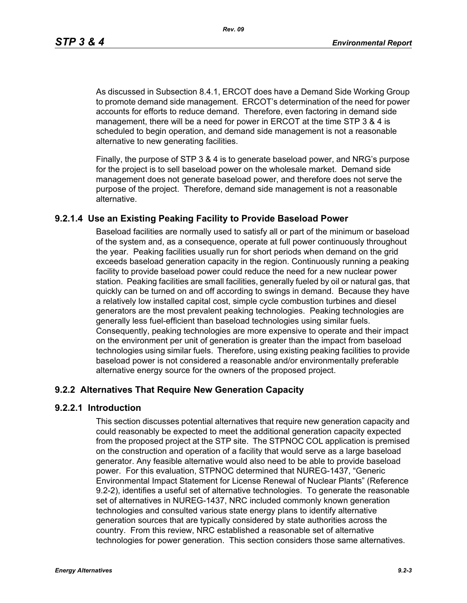*Rev. 09*

As discussed in Subsection 8.4.1, ERCOT does have a Demand Side Working Group to promote demand side management. ERCOT's determination of the need for power accounts for efforts to reduce demand. Therefore, even factoring in demand side management, there will be a need for power in ERCOT at the time STP 3 & 4 is scheduled to begin operation, and demand side management is not a reasonable alternative to new generating facilities.

[Finally, the purpose of STP 3 & 4 is to generate baseload power, and NRG's purpose](http://www.eere.energy.gov/windandhydro/windpoweringamerica/pdfs/power_supply_guidebook.pdf)  for the project is to sell baseload power on the wholesale market. Demand side management does not generate baseload power, and therefore does not serve the purpose of the project. Therefore, demand side management is not a reasonable alternative.

# **9.2.1.4 Use an Existing Peaking Facility to Provide Baseload Power**

Baseload facilities are normally used to satisfy all or part of the minimum or baseload of the system and, as a consequence, operate at full power continuously throughout the year. Peaking facilities usually run for short periods when demand on the grid exceeds baseload generation capacity in the region. Continuously running a peaking facility to provide baseload power could reduce the need for a new nuclear power station. Peaking facilities are small facilities, generally fueled by oil or natural gas, that quickly can be turned on and off according to swings in demand. Because they have a relatively low installed capital cost, simple cycle combustion turbines and diesel generators are the most prevalent peaking technologies. Peaking technologies are generally less fuel-efficient than baseload technologies using similar fuels. Consequently, peaking technologies are more expensive to operate and their impact on the environment per unit of generation is greater than the impact from baseload technologies using similar fuels. Therefore, using existing peaking facilities to provide baseload power is not considered a reasonable and/or environmentally preferable alternative energy source for the owners of the proposed project.

# **9.2.2 Alternatives That Require New Generation Capacity**

## **9.2.2.1 Introduction**

This section discusses potential alternatives that require new generation capacity and could reasonably be expected to meet the additional generation capacity expected from the proposed project at the STP site. The STPNOC COL application is premised on the construction and operation of a facility that would serve as a large baseload generator. Any feasible alternative would also need to be able to provide baseload power. For this evaluation, STPNOC determined that NUREG-1437, "Generic Environmental Impact Statement for License Renewal of Nuclear Plants" (Reference 9.2-2), identifies a useful set of alternative technologies. To generate the reasonable set of alternatives in NUREG-1437, NRC included commonly known generation technologies and consulted various state energy plans to identify alternative generation sources that are typically considered by state authorities across the country. From this review, NRC established a reasonable set of alternative technologies for power generation. This section considers those same alternatives.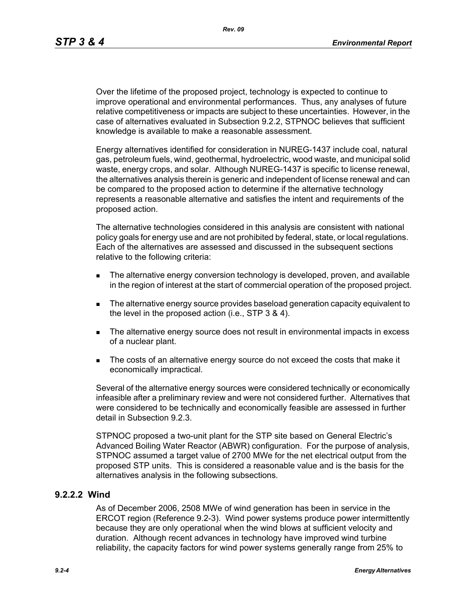*Rev. 09*

Over the lifetime of the proposed project, technology is expected to continue to improve operational and environmental performances. Thus, any analyses of future relative competitiveness or impacts are subject to these uncertainties. However, in the case of alternatives evaluated in Subsection 9.2.2, STPNOC believes that sufficient knowledge is available to make a reasonable assessment.

Energy alternatives identified for consideration in NUREG-1437 include coal, natural gas, petroleum fuels, wind, geothermal, hydroelectric, wood waste, and municipal solid waste, energy crops, and solar. Although NUREG-1437 is specific to license renewal, the alternatives analysis therein is generic and independent of license renewal and can be compared to the proposed action to determine if the alternative technology represents a reasonable alternative and satisfies the intent and requirements of the proposed action.

The alternative technologies considered in this analysis are consistent with national policy goals for energy use and are not prohibited by federal, state, or local regulations. Each of the alternatives are assessed and discussed in the subsequent sections relative to the following criteria:

- **The alternative energy conversion technology is developed, proven, and available** in the region of interest at the start of commercial operation of the proposed project.
- The alternative energy source provides baseload generation capacity equivalent to the level in the proposed action (i.e., STP 3 & 4).
- The alternative energy source does not result in environmental impacts in excess of a nuclear plant.
- The costs of an alternative energy source do not exceed the costs that make it economically impractical.

Several of the alternative energy sources were considered technically or economically infeasible after a preliminary review and were not considered further. Alternatives that were considered to be technically and economically feasible are assessed in further detail in Subsection 9.2.3.

STPNOC proposed a two-unit plant for the STP site based on General Electric's Advanced Boiling Water Reactor (ABWR) configuration. For the purpose of analysis, STPNOC assumed a target value of 2700 MWe for the net electrical output from the proposed STP units. This is considered a reasonable value and is the basis for the alternatives analysis in the following subsections.

## **9.2.2.2 Wind**

As of December 2006, 2508 MWe of wind generation has been in service in the ERCOT region (Reference 9.2-3). Wind power systems produce power intermittently because they are only operational when the wind blows at sufficient velocity and duration. Although recent advances in technology have improved wind turbine reliability, the capacity factors for wind power systems generally range from 25% to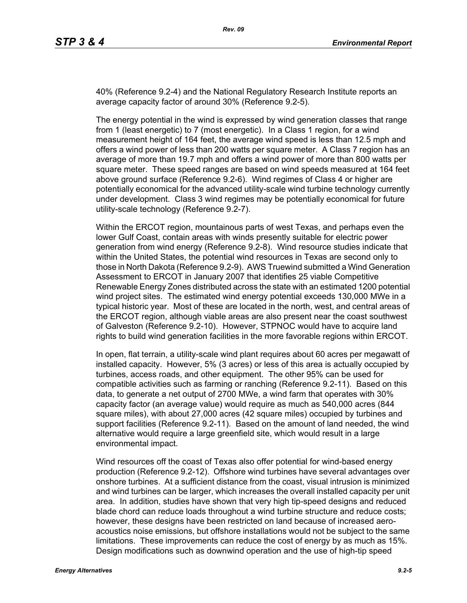40% (Reference 9.2-4) and the National Regulatory Research Institute reports an average capacity factor of around 30% (Reference 9.2-5).

The energy potential in the wind is expressed by wind generation classes that range from 1 (least energetic) to 7 (most energetic). In a Class 1 region, for a wind measurement height of 164 feet, the average wind speed is less than 12.5 mph and offers a wind power of less than 200 watts per square meter. A Class 7 region has an average of more than 19.7 mph and offers a wind power of more than 800 watts per square meter. These speed ranges are based on wind speeds measured at 164 feet above ground surface (Reference 9.2-6). Wind regimes of Class 4 or higher are potentially economical for the advanced utility-scale wind turbine technology currently under development. Class 3 wind regimes may be potentially economical for future utility-scale technology (Reference 9.2-7).

Within the ERCOT region, mountainous parts of west Texas, and perhaps even the lower Gulf Coast, contain areas with winds presently suitable for electric power generation from wind energy (Reference 9.2-8). Wind resource studies indicate that within the United States, the potential wind resources in Texas are second only to those in North Dakota (Reference 9.2-9). AWS Truewind submitted a Wind Generation Assessment to ERCOT in January 2007 that identifies 25 viable Competitive Renewable Energy Zones distributed across the state with an estimated 1200 potential wind project sites. The estimated wind energy potential exceeds 130,000 MWe in a typical historic year. Most of these are located in the north, west, and central areas of the ERCOT region, although viable areas are also present near the coast southwest of Galveston (Reference 9.2-10). However, STPNOC would have to acquire land rights to build wind generation facilities in the more favorable regions within ERCOT.

In open, flat terrain, a utility-scale wind plant requires about 60 acres per megawatt of installed capacity. However, 5% (3 acres) or less of this area is actually occupied by turbines, access roads, and other equipment. The other 95% can be used for compatible activities such as farming or ranching (Reference 9.2-11). Based on this data, to generate a net output of 2700 MWe, a wind farm that operates with 30% capacity factor (an average value) would require as much as 540,000 acres (844 square miles), with about 27,000 acres (42 square miles) occupied by turbines and support facilities (Reference 9.2-11). Based on the amount of land needed, the wind alternative would require a large greenfield site, which would result in a large environmental impact.

Wind resources off the coast of Texas also offer potential for wind-based energy production (Reference 9.2-12). Offshore wind turbines have several advantages over onshore turbines. At a sufficient distance from the coast, visual intrusion is minimized and wind turbines can be larger, which increases the overall installed capacity per unit area. In addition, studies have shown that very high tip-speed designs and reduced blade chord can reduce loads throughout a wind turbine structure and reduce costs; however, these designs have been restricted on land because of increased aeroacoustics noise emissions, but offshore installations would not be subject to the same limitations. These improvements can reduce the cost of energy by as much as 15%. Design modifications such as downwind operation and the use of high-tip speed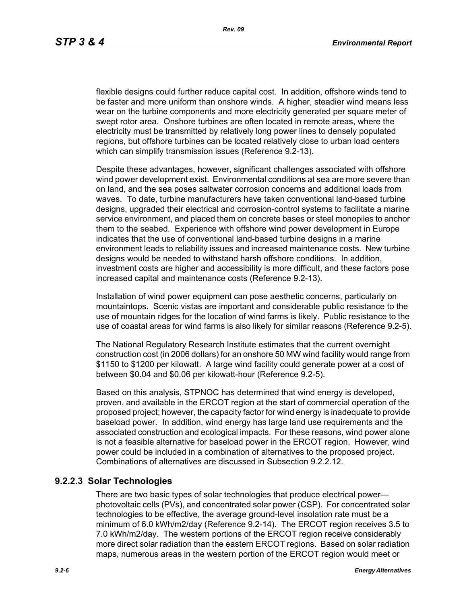flexible designs could further reduce capital cost. In addition, offshore winds tend to be faster and more uniform than onshore winds. A higher, steadier wind means less wear on the turbine components and more electricity generated per square meter of swept rotor area. Onshore turbines are often located in remote areas, where the electricity must be transmitted by relatively long power lines to densely populated regions, but offshore turbines can be located relatively close to urban load centers which can simplify transmission issues (Reference 9.2-13).

[Despite these advantages, however, significant challenges associated with offshore](http://www.nrri.ohio-state.edu/)  [wind power development exist. Environmental conditions at sea are more severe than](http://www.nrri.ohio-state.edu/)  on land, and the sea poses saltwater corrosion concerns and additional loads from waves. To date, turbine manufacturers have taken conventional land-based turbine designs, upgraded their electrical and corrosion-control systems to facilitate a marine service environment, and placed them on concrete bases or steel monopiles to anchor them to the seabed. Experience with offshore wind power development in Europe [indicates that the use of conventional land-based turbine designs in a marine](http://www.nrri.ohio-state.edu/)  [environment leads to reliability issues and increased maintenance costs. New turbine](http://www.nrri.ohio-state.edu/)  designs would be needed to withstand harsh offshore conditions. In addition, investment costs are higher and accessibility is more difficult, and these factors pose increased capital and maintenance costs (Reference 9.2-13).

Installation of wind power equipment can pose aesthetic concerns, particularly on mountaintops. Scenic vistas are important and considerable public resistance to the use of mountain ridges for the location of wind farms is likely. Public resistance to the use of coastal areas for wind farms is also likely for similar reasons (Reference 9.2-5).

The National Regulatory Research Institute estimates that the current overnight construction cost (in 2006 dollars) for an onshore 50 MW wind facility would range from \$1150 to \$1200 per kilowatt. A large wind facility could generate power at a cost of between \$0.04 and \$0.06 per kilowatt-hour (Reference 9.2-5).

Based on this analysis, STPNOC has determined that wind energy is developed, proven, and available in the ERCOT region at the start of commercial operation of the [proposed project; however, the capacity factor for wind energy is inadequate to provide](http://www.infinitepower.org/resgeothermal.htm)  baseload power. In addition, wind energy has large land use requirements and the associated construction and ecological impacts. For these reasons, wind power alone is not a feasible alternative for baseload power in the ERCOT region. However, wind power could be included in a combination of alternatives to the proposed project. Combinations of alternatives are discussed in Subsection 9.2.2.12.

# **9.2.2.3 Solar Technologies**

There are two basic types of solar technologies that produce electrical power photovoltaic cells (PVs), and concentrated solar power (CSP). For concentrated solar technologies to be effective, the average ground-level insolation rate must be a minimum of 6.0 kWh/m2/day (Reference 9.2-14). The ERCOT region receives 3.5 to 7.0 kWh/m2/day. The western portions of the ERCOT region receive considerably more direct solar radiation than the eastern ERCOT regions. Based on solar radiation maps, numerous areas in the western portion of the ERCOT region would meet or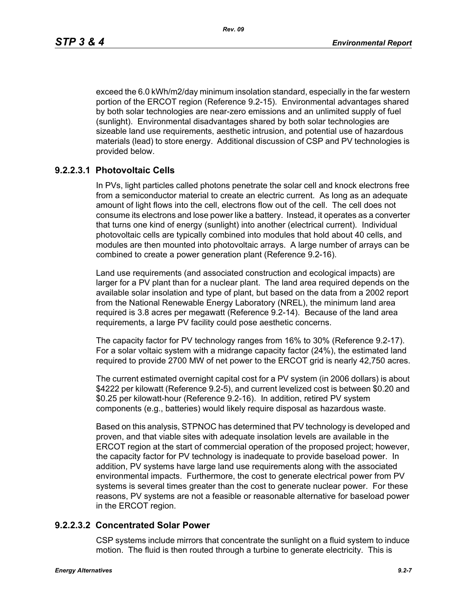exceed the 6.0 kWh/m2/day minimum insolation standard, especially in the far western portion of the ERCOT region (Reference 9.2-15). Environmental advantages shared by both solar technologies are near-zero emissions and an unlimited supply of fuel (sunlight). Environmental disadvantages shared by both solar technologies are sizeable land use requirements, aesthetic intrusion, and potential use of hazardous materials (lead) to store energy. Additional discussion of CSP and PV technologies is provided below.

# **9.2.2.3.1 Photovoltaic Cells**

In PVs, light particles called photons penetrate the solar cell and knock electrons free from a semiconductor material to create an electric current. As long as an adequate amount of light flows into the cell, electrons flow out of the cell. The cell does not consume its electrons and lose power like a battery. Instead, it operates as a converter that turns one kind of energy (sunlight) into another (electrical current). Individual photovoltaic cells are typically combined into modules that hold about 40 cells, and modules are then mounted into photovoltaic arrays. A large number of arrays can be combined to create a power generation plant (Reference 9.2-16).

Land use requirements (and associated construction and ecological impacts) are larger for a PV plant than for a nuclear plant. The land area required depends on the available solar insolation and type of plant, but based on the data from a 2002 report from the National Renewable Energy Laboratory (NREL), the minimum land area required is 3.8 acres per megawatt (Reference 9.2-14). Because of the land area requirements, a large PV facility could pose aesthetic concerns.

The capacity factor for PV technology ranges from 16% to 30% (Reference 9.2-17). For a solar voltaic system with a midrange capacity factor (24%), the estimated land required to provide 2700 MW of net power to the ERCOT grid is nearly 42,750 acres.

The current estimated overnight capital cost for a PV system (in 2006 dollars) is about \$4222 per kilowatt (Reference 9.2-5), and current levelized cost is between \$0.20 and \$0.25 per kilowatt-hour (Reference 9.2-16). In addition, retired PV system components (e.g., batteries) would likely require disposal as hazardous waste.

Based on this analysis, STPNOC has determined that PV technology is developed and proven, and that viable sites with adequate insolation levels are available in the ERCOT region at the start of commercial operation of the proposed project; however, the capacity factor for PV technology is inadequate to provide baseload power. In addition, PV systems have large land use requirements along with the associated environmental impacts. Furthermore, the cost to generate electrical power from PV systems is several times greater than the cost to generate nuclear power. For these reasons, PV systems are not a feasible or reasonable alternative for baseload power in the ERCOT region.

## **9.2.2.3.2 Concentrated Solar Power**

CSP systems include mirrors that concentrate the sunlight on a fluid system to induce motion. The fluid is then routed through a turbine to generate electricity. This is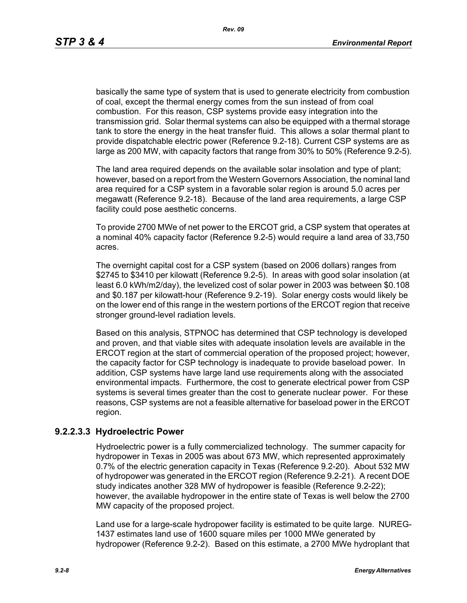basically the same type of system that is used to generate electricity from combustion of coal, except the thermal energy comes from the sun instead of from coal combustion. For this reason, CSP systems provide easy integration into the transmission grid. Solar thermal systems can also be equipped with a thermal storage tank to store the energy in the heat transfer fluid. This allows a solar thermal plant to provide dispatchable electric power (Reference 9.2-18). Current CSP systems are as large as 200 MW, with capacity factors that range from 30% to 50% (Reference 9.2-5).

The land area required depends on the available solar insolation and type of plant; however, based on a report from the Western Governors Association, the nominal land area required for a CSP system in a favorable solar region is around 5.0 acres per megawatt (Reference 9.2-18). Because of the land area requirements, a large CSP facility could pose aesthetic concerns.

To provide 2700 MWe of net power to the ERCOT grid, a CSP system that operates at a nominal 40% capacity factor (Reference 9.2-5) would require a land area of 33,750 acres.

The overnight capital cost for a CSP system (based on 2006 dollars) ranges from \$2745 to \$3410 per kilowatt (Reference 9.2-5). In areas with good solar insolation (at least 6.0 kWh/m2/day), the levelized cost of solar power in 2003 was between \$0.108 and \$0.187 per kilowatt-hour (Reference 9.2-19). Solar energy costs would likely be on the lower end of this range in the western portions of the ERCOT region that receive stronger ground-level radiation levels.

Based on this analysis, STPNOC has determined that CSP technology is developed and proven, and that viable sites with adequate insolation levels are available in the ERCOT region at the start of commercial operation of the proposed project; however, the capacity factor for CSP technology is inadequate to provide baseload power. In addition, CSP systems have large land use requirements along with the associated environmental impacts. Furthermore, the cost to generate electrical power from CSP systems is several times greater than the cost to generate nuclear power. For these reasons, CSP systems are not a feasible alternative for baseload power in the ERCOT region.

## **9.2.2.3.3 Hydroelectric Power**

Hydroelectric power is a fully commercialized technology. The summer capacity for hydropower in Texas in 2005 was about 673 MW, which represented approximately 0.7% of the electric generation capacity in Texas (Reference 9.2-20). About 532 MW of hydropower was generated in the ERCOT region (Reference 9.2-21). A recent DOE study indicates another 328 MW of hydropower is feasible (Reference 9.2-22); however, the available hydropower in the entire state of Texas is well below the 2700 MW capacity of the proposed project.

Land use for a large-scale hydropower facility is estimated to be quite large. NUREG-1437 estimates land use of 1600 square miles per 1000 MWe generated by hydropower (Reference 9.2-2). Based on this estimate, a 2700 MWe hydroplant that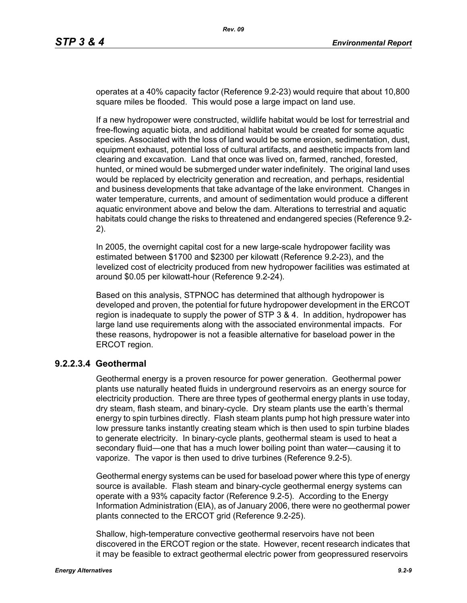operates at a 40% capacity factor (Reference 9.2-23) would require that about 10,800 square miles be flooded. This would pose a large impact on land use.

If a new hydropower were constructed, wildlife habitat would be lost for terrestrial and free-flowing aquatic biota, and additional habitat would be created for some aquatic species. Associated with the loss of land would be some erosion, sedimentation, dust, equipment exhaust, potential loss of cultural artifacts, and aesthetic impacts from land clearing and excavation. Land that once was lived on, farmed, ranched, forested, hunted, or mined would be submerged under water indefinitely. The original land uses would be replaced by electricity generation and recreation, and perhaps, residential and business developments that take advantage of the lake environment. Changes in water temperature, currents, and amount of sedimentation would produce a different aquatic environment above and below the dam. Alterations to terrestrial and aquatic habitats could change the risks to threatened and endangered species (Reference 9.2- 2).

In 2005, the overnight capital cost for a new large-scale hydropower facility was estimated between \$1700 and \$2300 per kilowatt (Reference 9.2-23), and the levelized cost of electricity produced from new hydropower facilities was estimated at around \$0.05 per kilowatt-hour (Reference 9.2-24).

Based on this analysis, STPNOC has determined that although hydropower is developed and proven, the potential for future hydropower development in the ERCOT region is inadequate to supply the power of STP 3 & 4. In addition, hydropower has large land use requirements along with the associated environmental impacts. For these reasons, hydropower is not a feasible alternative for baseload power in the ERCOT region.

## **9.2.2.3.4 Geothermal**

Geothermal energy is a proven resource for power generation. Geothermal power plants use naturally heated fluids in underground reservoirs as an energy source for electricity production. There are three types of geothermal energy plants in use today, dry steam, flash steam, and binary-cycle. Dry steam plants use the earth's thermal energy to spin turbines directly. Flash steam plants pump hot high pressure water into low pressure tanks instantly creating steam which is then used to spin turbine blades to generate electricity. In binary-cycle plants, geothermal steam is used to heat a secondary fluid—one that has a much lower boiling point than water—causing it to vaporize. The vapor is then used to drive turbines (Reference 9.2-5).

Geothermal energy systems can be used for baseload power where this type of energy source is available. Flash steam and binary-cycle geothermal energy systems can operate with a 93% capacity factor (Reference 9.2-5). According to the Energy Information Administration (EIA), as of January 2006, there were no geothermal power plants connected to the ERCOT grid (Reference 9.2-25).

Shallow, high-temperature convective geothermal reservoirs have not been discovered in the ERCOT region or the state. However, recent research indicates that it may be feasible to extract geothermal electric power from geopressured reservoirs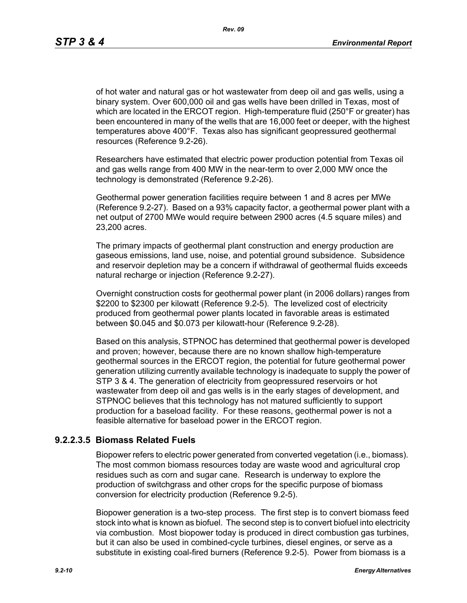*Rev. 09*

of hot water and natural gas or hot wastewater from deep oil and gas wells, using a binary system. Over 600,000 oil and gas wells have been drilled in Texas, most of which are located in the ERCOT region. High-temperature fluid (250°F or greater) has been encountered in many of the wells that are 16,000 feet or deeper, with the highest temperatures above 400°F. Texas also has significant geopressured geothermal resources (Reference 9.2-26).

Researchers have estimated that electric power production potential from Texas oil and gas wells range from 400 MW in the near-term to over 2,000 MW once the technology is demonstrated (Reference 9.2-26).

Geothermal power generation facilities require between 1 and 8 acres per MWe (Reference 9.2-27). Based on a 93% capacity factor, a geothermal power plant with a net output of 2700 MWe would require between 2900 acres (4.5 square miles) and 23,200 acres.

The primary impacts of geothermal plant construction and energy production are gaseous emissions, land use, noise, and potential ground subsidence. Subsidence and reservoir depletion may be a concern if withdrawal of geothermal fluids exceeds natural recharge or injection (Reference 9.2-27).

Overnight construction costs for geothermal power plant (in 2006 dollars) ranges from \$2200 to \$2300 per kilowatt (Reference 9.2-5). The levelized cost of electricity produced from geothermal power plants located in favorable areas is estimated between \$0.045 and \$0.073 per kilowatt-hour (Reference 9.2-28).

Based on this analysis, STPNOC has determined that geothermal power is developed and proven; however, because there are no known shallow high-temperature geothermal sources in the ERCOT region, the potential for future geothermal power generation utilizing currently available technology is inadequate to supply the power of STP 3 & 4. The generation of electricity from geopressured reservoirs or hot wastewater from deep oil and gas wells is in the early stages of development, and STPNOC believes that this technology has not matured sufficiently to support production for a baseload facility. For these reasons, geothermal power is not a feasible alternative for baseload power in the ERCOT region.

# **9.2.2.3.5 Biomass Related Fuels**

Biopower refers to electric power generated from converted vegetation (i.e., biomass). The most common biomass resources today are waste wood and agricultural crop residues such as corn and sugar cane. Research is underway to explore the production of switchgrass and other crops for the specific purpose of biomass conversion for electricity production (Reference 9.2-5).

Biopower generation is a two-step process. The first step is to convert biomass feed stock into what is known as biofuel. The second step is to convert biofuel into electricity via combustion. Most biopower today is produced in direct combustion gas turbines, but it can also be used in combined-cycle turbines, diesel engines, or serve as a substitute in existing coal-fired burners (Reference 9.2-5). Power from biomass is a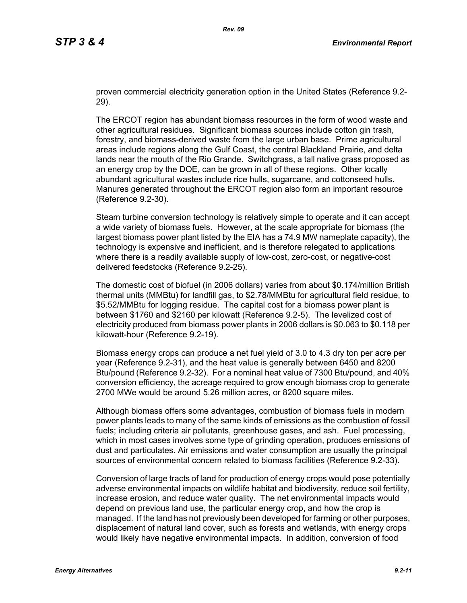proven commercial electricity generation option in the United States (Reference 9.2- 29).

The ERCOT region has abundant biomass resources in the form of wood waste and other agricultural residues. Significant biomass sources include cotton gin trash, forestry, and biomass-derived waste from the large urban base. Prime agricultural areas include regions along the Gulf Coast, the central Blackland Prairie, and delta lands near the mouth of the Rio Grande. Switchgrass, a tall native grass proposed as an energy crop by the DOE, can be grown in all of these regions. Other locally abundant agricultural wastes include rice hulls, sugarcane, and cottonseed hulls. Manures generated throughout the ERCOT region also form an important resource (Reference 9.2-30).

Steam turbine conversion technology is relatively simple to operate and it can accept a wide variety of biomass fuels. However, at the scale appropriate for biomass (the largest biomass power plant listed by the EIA has a 74.9 MW nameplate capacity), the technology is expensive and inefficient, and is therefore relegated to applications where there is a readily available supply of low-cost, zero-cost, or negative-cost delivered feedstocks (Reference 9.2-25).

The domestic cost of biofuel (in 2006 dollars) varies from about \$0.174/million British thermal units (MMBtu) for landfill gas, to \$2.78/MMBtu for agricultural field residue, to \$5.52/MMBtu for logging residue. The capital cost for a biomass power plant is between \$1760 and \$2160 per kilowatt (Reference 9.2-5). The levelized cost of electricity produced from biomass power plants in 2006 dollars is \$0.063 to \$0.118 per kilowatt-hour (Reference 9.2-19).

Biomass energy crops can produce a net fuel yield of 3.0 to 4.3 dry ton per acre per year (Reference 9.2-31), and the heat value is generally between 6450 and 8200 Btu/pound (Reference 9.2-32). For a nominal heat value of 7300 Btu/pound, and 40% conversion efficiency, the acreage required to grow enough biomass crop to generate 2700 MWe would be around 5.26 million acres, or 8200 square miles.

Although biomass offers some advantages, combustion of biomass fuels in modern power plants leads to many of the same kinds of emissions as the combustion of fossil fuels; including criteria air pollutants, greenhouse gases, and ash. Fuel processing, which in most cases involves some type of grinding operation, produces emissions of dust and particulates. Air emissions and water consumption are usually the principal sources of environmental concern related to biomass facilities (Reference 9.2-33).

Conversion of large tracts of land for production of energy crops would pose potentially adverse environmental impacts on wildlife habitat and biodiversity, reduce soil fertility, increase erosion, and reduce water quality. The net environmental impacts would depend on previous land use, the particular energy crop, and how the crop is managed. If the land has not previously been developed for farming or other purposes, displacement of natural land cover, such as forests and wetlands, with energy crops would likely have negative environmental impacts. In addition, conversion of food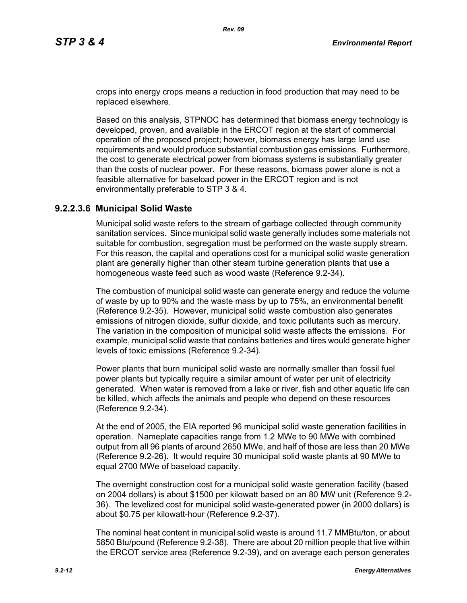crops into energy crops means a reduction in food production that may need to be replaced elsewhere.

Based on this analysis, STPNOC has determined that biomass energy technology is developed, proven, and available in the ERCOT region at the start of commercial operation of the proposed project; however, biomass energy has large land use requirements and would produce substantial combustion gas emissions. Furthermore, the cost to generate electrical power from biomass systems is substantially greater than the costs of nuclear power. For these reasons, biomass power alone is not a feasible alternative for baseload power in the ERCOT region and is not environmentally preferable to STP 3 & 4.

## **9.2.2.3.6 Municipal Solid Waste**

Municipal solid waste refers to the stream of garbage collected through community sanitation services. Since municipal solid waste generally includes some materials not suitable for combustion, segregation must be performed on the waste supply stream. For this reason, the capital and operations cost for a municipal solid waste generation plant are generally higher than other steam turbine generation plants that use a homogeneous waste feed such as wood waste (Reference 9.2-34).

The combustion of municipal solid waste can generate energy and reduce the volume of waste by up to 90% and the waste mass by up to 75%, an environmental benefit (Reference 9.2-35). However, municipal solid waste combustion also generates emissions of nitrogen dioxide, sulfur dioxide, and toxic pollutants such as mercury. The variation in the composition of municipal solid waste affects the emissions. For example, municipal solid waste that contains batteries and tires would generate higher levels of toxic emissions (Reference 9.2-34).

Power plants that burn municipal solid waste are normally smaller than fossil fuel power plants but typically require a similar amount of water per unit of electricity generated. When water is removed from a lake or river, fish and other aquatic life can be killed, which affects the animals and people who depend on these resources (Reference 9.2-34).

At the end of 2005, the EIA reported 96 municipal solid waste generation facilities in operation. Nameplate capacities range from 1.2 MWe to 90 MWe with combined output from all 96 plants of around 2650 MWe, and half of those are less than 20 MWe (Reference 9.2-26). It would require 30 municipal solid waste plants at 90 MWe to equal 2700 MWe of baseload capacity.

The overnight construction cost for a municipal solid waste generation facility (based on 2004 dollars) is about \$1500 per kilowatt based on an 80 MW unit (Reference 9.2- 36). The levelized cost for municipal solid waste-generated power (in 2000 dollars) is about \$0.75 per kilowatt-hour (Reference 9.2-37).

The nominal heat content in municipal solid waste is around 11.7 MMBtu/ton, or about 5850 Btu/pound (Reference 9.2-38). There are about 20 million people that live within the ERCOT service area (Reference 9.2-39), and on average each person generates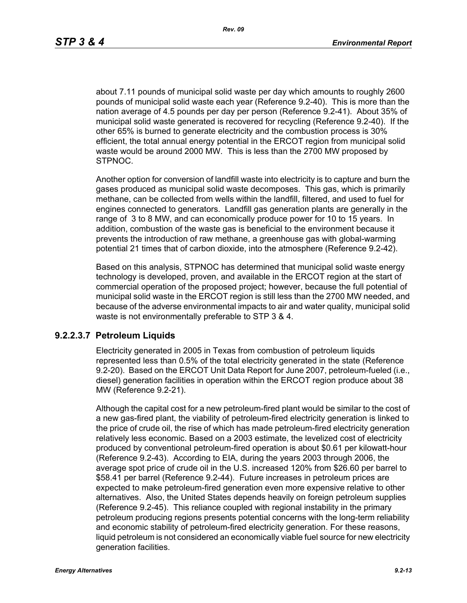about 7.11 pounds of municipal solid waste per day which amounts to roughly 2600 pounds of municipal solid waste each year (Reference 9.2-40). This is more than the nation average of 4.5 pounds per day per person (Reference 9.2-41). About 35% of municipal solid waste generated is recovered for recycling (Reference 9.2-40). If the other 65% is burned to generate electricity and the combustion process is 30% efficient, the total annual energy potential in the ERCOT region from municipal solid waste would be around 2000 MW. This is less than the 2700 MW proposed by STPNOC.

Another option for conversion of landfill waste into electricity is to capture and burn the gases produced as municipal solid waste decomposes. This gas, which is primarily methane, can be collected from wells within the landfill, filtered, and used to fuel for engines connected to generators. Landfill gas generation plants are generally in the range of 3 to 8 MW, and can economically produce power for 10 to 15 years. In addition, combustion of the waste gas is beneficial to the environment because it prevents the introduction of raw methane, a greenhouse gas with global-warming potential 21 times that of carbon dioxide, into the atmosphere (Reference 9.2-42).

Based on this analysis, STPNOC has determined that municipal solid waste energy technology is developed, proven, and available in the ERCOT region at the start of commercial operation of the proposed project; however, because the full potential of municipal solid waste in the ERCOT region is still less than the 2700 MW needed, and because of the adverse environmental impacts to air and water quality, municipal solid waste is not environmentally preferable to STP 3 & 4.

#### **9.2.2.3.7 Petroleum Liquids**

Electricity generated in 2005 in Texas from combustion of petroleum liquids represented less than 0.5% of the total electricity generated in the state (Reference 9.2-20). Based on the ERCOT Unit Data Report for June 2007, petroleum-fueled (i.e., diesel) generation facilities in operation within the ERCOT region produce about 38 MW (Reference 9.2-21).

Although the capital cost for a new petroleum-fired plant would be similar to the cost of a new gas-fired plant, the viability of petroleum-fired electricity generation is linked to the price of crude oil, the rise of which has made petroleum-fired electricity generation relatively less economic. Based on a 2003 estimate, the levelized cost of electricity produced by conventional petroleum-fired operation is about \$0.61 per kilowatt-hour (Reference 9.2-43). According to EIA, during the years 2003 through 2006, the average spot price of crude oil in the U.S. increased 120% from \$26.60 per barrel to \$58.41 per barrel (Reference 9.2-44). Future increases in petroleum prices are expected to make petroleum-fired generation even more expensive relative to other alternatives. Also, the United States depends heavily on foreign petroleum supplies (Reference 9.2-45). This reliance coupled with regional instability in the primary petroleum producing regions presents potential concerns with the long-term reliability and economic stability of petroleum-fired electricity generation. For these reasons, liquid petroleum is not considered an economically viable fuel source for new electricity generation facilities.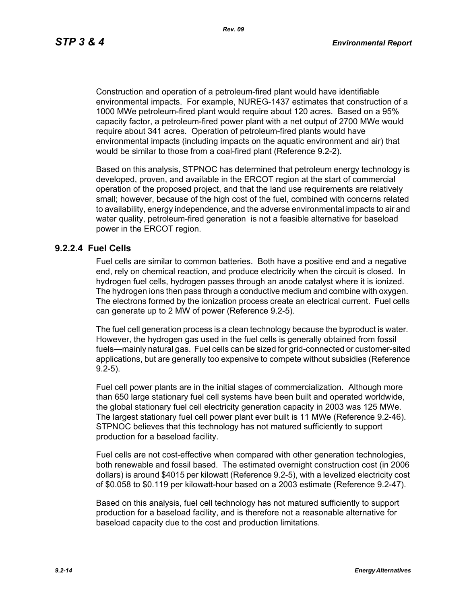Construction and operation of a petroleum-fired plant would have identifiable environmental impacts. For example, NUREG-1437 estimates that construction of a 1000 MWe petroleum-fired plant would require about 120 acres. Based on a 95% capacity factor, a petroleum-fired power plant with a net output of 2700 MWe would require about 341 acres. Operation of petroleum-fired plants would have environmental impacts (including impacts on the aquatic environment and air) that would be similar to those from a coal-fired plant (Reference 9.2-2).

Based on this analysis, STPNOC has determined that petroleum energy technology is developed, proven, and available in the ERCOT region at the start of commercial operation of the proposed project, and that the land use requirements are relatively small; however, because of the high cost of the fuel, combined with concerns related to availability, energy independence, and the adverse environmental impacts to air and water quality, petroleum-fired generation is not a feasible alternative for baseload power in the ERCOT region.

#### **9.2.2.4 Fuel Cells**

Fuel cells are similar to common batteries. Both have a positive end and a negative end, rely on chemical reaction, and produce electricity when the circuit is closed. In hydrogen fuel cells, hydrogen passes through an anode catalyst where it is ionized. The hydrogen ions then pass through a conductive medium and combine with oxygen. The electrons formed by the ionization process create an electrical current. Fuel cells can generate up to 2 MW of power (Reference 9.2-5).

The fuel cell generation process is a clean technology because the byproduct is water. However, the hydrogen gas used in the fuel cells is generally obtained from fossil fuels—mainly natural gas. Fuel cells can be sized for grid-connected or customer-sited applications, but are generally too expensive to compete without subsidies (Reference 9.2-5).

Fuel cell power plants are in the initial stages of commercialization. Although more than 650 large stationary fuel cell systems have been built and operated worldwide, the global stationary fuel cell electricity generation capacity in 2003 was 125 MWe. The largest stationary fuel cell power plant ever built is 11 MWe (Reference 9.2-46). STPNOC believes that this technology has not matured sufficiently to support production for a baseload facility.

Fuel cells are not cost-effective when compared with other generation technologies, both renewable and fossil based. The estimated overnight construction cost (in 2006 dollars) is around \$4015 per kilowatt (Reference 9.2-5), with a levelized electricity cost of \$0.058 to \$0.119 per kilowatt-hour based on a 2003 estimate (Reference 9.2-47).

Based on this analysis, fuel cell technology has not matured sufficiently to support production for a baseload facility, and is therefore not a reasonable alternative for baseload capacity due to the cost and production limitations.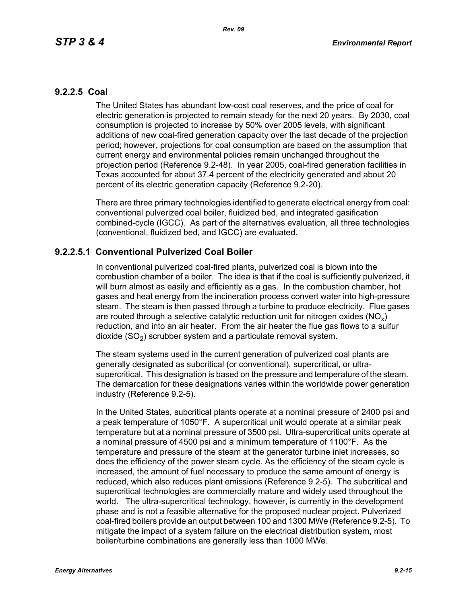# **9.2.2.5 Coal**

The United States has abundant low-cost coal reserves, and the price of coal for electric generation is projected to remain steady for the next 20 years. By 2030, coal consumption is projected to increase by 50% over 2005 levels, with significant additions of new coal-fired generation capacity over the last decade of the projection period; however, projections for coal consumption are based on the assumption that current energy and environmental policies remain unchanged throughout the projection period (Reference 9.2-48). In year 2005, coal-fired generation facilities in Texas accounted for about 37.4 percent of the electricity generated and about 20 percent of its electric generation capacity (Reference 9.2-20).

There are three primary technologies identified to generate electrical energy from coal: conventional pulverized coal boiler, fluidized bed, and integrated gasification combined-cycle (IGCC). As part of the alternatives evaluation, all three technologies (conventional, fluidized bed, and IGCC) are evaluated.

# **9.2.2.5.1 Conventional Pulverized Coal Boiler**

In conventional pulverized coal-fired plants, pulverized coal is blown into the combustion chamber of a boiler. The idea is that if the coal is sufficiently pulverized, it will burn almost as easily and efficiently as a gas. In the combustion chamber, hot gases and heat energy from the incineration process convert water into high-pressure steam. The steam is then passed through a turbine to produce electricity. Flue gases are routed through a selective catalytic reduction unit for nitrogen oxides ( $NO<sub>v</sub>$ ) reduction, and into an air heater. From the air heater the flue gas flows to a sulfur dioxide  $(SO<sub>2</sub>)$  scrubber system and a particulate removal system.

The steam systems used in the current generation of pulverized coal plants are generally designated as subcritical (or conventional), supercritical, or ultrasupercritical. This designation is based on the pressure and temperature of the steam. The demarcation for these designations varies within the worldwide power generation industry (Reference 9.2-5).

In the United States, subcritical plants operate at a nominal pressure of 2400 psi and a peak temperature of 1050°F. A supercritical unit would operate at a similar peak temperature but at a nominal pressure of 3500 psi. Ultra-supercritical units operate at a nominal pressure of 4500 psi and a minimum temperature of 1100°F. As the temperature and pressure of the steam at the generator turbine inlet increases, so does the efficiency of the power steam cycle. As the efficiency of the steam cycle is increased, the amount of fuel necessary to produce the same amount of energy is reduced, which also reduces plant emissions (Reference 9.2-5). The subcritical and supercritical technologies are commercially mature and widely used throughout the world. The ultra-supercritical technology, however, is currently in the development phase and is not a feasible alternative for the proposed nuclear project. Pulverized coal-fired boilers provide an output between 100 and 1300 MWe (Reference 9.2-5). To mitigate the impact of a system failure on the electrical distribution system, most boiler/turbine combinations are generally less than 1000 MWe.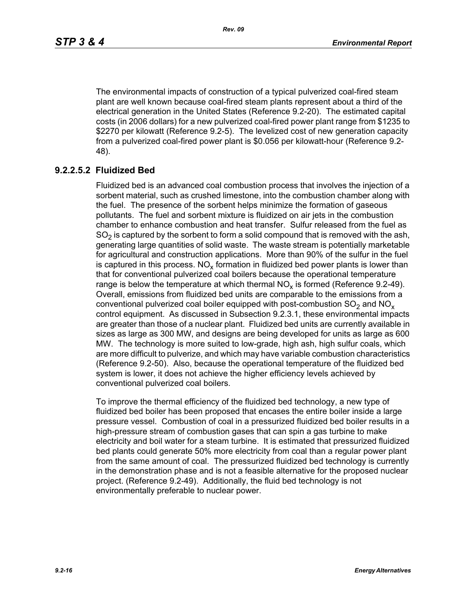The environmental impacts of construction of a typical pulverized coal-fired steam plant are well known because coal-fired steam plants represent about a third of the electrical generation in the United States (Reference 9.2-20). The estimated capital costs (in 2006 dollars) for a new pulverized coal-fired power plant range from \$1235 to \$2270 per kilowatt (Reference 9.2-5). The levelized cost of new generation capacity from a pulverized coal-fired power plant is \$0.056 per kilowatt-hour (Reference 9.2- 48).

# **9.2.2.5.2 Fluidized Bed**

Fluidized bed is an advanced coal combustion process that involves the injection of a sorbent material, such as crushed limestone, into the combustion chamber along with the fuel. The presence of the sorbent helps minimize the formation of gaseous pollutants. The fuel and sorbent mixture is fluidized on air jets in the combustion chamber to enhance combustion and heat transfer. Sulfur released from the fuel as  $SO<sub>2</sub>$  is captured by the sorbent to form a solid compound that is removed with the ash, generating large quantities of solid waste. The waste stream is potentially marketable for agricultural and construction applications. More than 90% of the sulfur in the fuel is captured in this process.  $NO_{v}$  formation in fluidized bed power plants is lower than that for conventional pulverized coal boilers because the operational temperature range is below the temperature at which thermal  $NO<sub>x</sub>$  is formed (Reference 9.2-49). Overall, emissions from fluidized bed units are comparable to the emissions from a conventional pulverized coal boiler equipped with post-combustion  $SO<sub>2</sub>$  and  $NO<sub>x</sub>$ control equipment. As discussed in Subsection 9.2.3.1, these environmental impacts are greater than those of a nuclear plant. Fluidized bed units are currently available in sizes as large as 300 MW, and designs are being developed for units as large as 600 MW. The technology is more suited to low-grade, high ash, high sulfur coals, which are more difficult to pulverize, and which may have variable combustion characteristics (Reference 9.2-50). Also, because the operational temperature of the fluidized bed system is lower, it does not achieve the higher efficiency levels achieved by conventional pulverized coal boilers.

To improve the thermal efficiency of the fluidized bed technology, a new type of fluidized bed boiler has been proposed that encases the entire boiler inside a large pressure vessel. Combustion of coal in a pressurized fluidized bed boiler results in a high-pressure stream of combustion gases that can spin a gas turbine to make electricity and boil water for a steam turbine. It is estimated that pressurized fluidized bed plants could generate 50% more electricity from coal than a regular power plant from the same amount of coal. The pressurized fluidized bed technology is currently in the demonstration phase and is not a feasible alternative for the proposed nuclear project. (Reference 9.2-49). Additionally, the fluid bed technology is not environmentally preferable to nuclear power.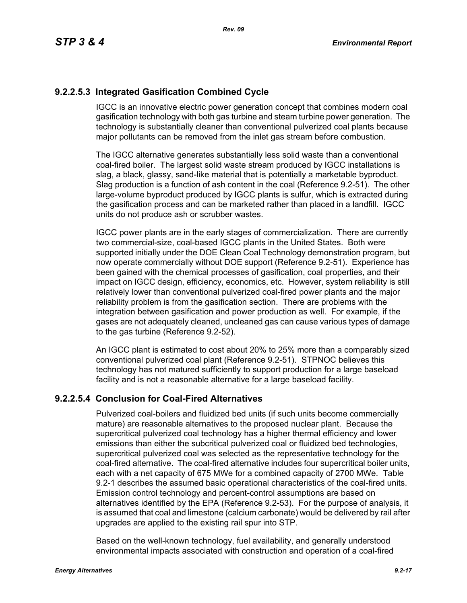# **9.2.2.5.3 Integrated Gasification Combined Cycle**

IGCC is an innovative electric power generation concept that combines modern coal gasification technology with both gas turbine and steam turbine power generation. The technology is substantially cleaner than conventional pulverized coal plants because major pollutants can be removed from the inlet gas stream before combustion.

The IGCC alternative generates substantially less solid waste than a conventional coal-fired boiler. The largest solid waste stream produced by IGCC installations is slag, a black, glassy, sand-like material that is potentially a marketable byproduct. Slag production is a function of ash content in the coal (Reference 9.2-51). The other large-volume byproduct produced by IGCC plants is sulfur, which is extracted during the gasification process and can be marketed rather than placed in a landfill. IGCC units do not produce ash or scrubber wastes.

IGCC power plants are in the early stages of commercialization. There are currently two commercial-size, coal-based IGCC plants in the United States. Both were supported initially under the DOE Clean Coal Technology demonstration program, but now operate commercially without DOE support (Reference 9.2-51). Experience has been gained with the chemical processes of gasification, coal properties, and their impact on IGCC design, efficiency, economics, etc. However, system reliability is still relatively lower than conventional pulverized coal-fired power plants and the major reliability problem is from the gasification section. There are problems with the integration between gasification and power production as well. For example, if the gases are not adequately cleaned, uncleaned gas can cause various types of damage to the gas turbine (Reference 9.2-52).

An IGCC plant is estimated to cost about 20% to 25% more than a comparably sized conventional pulverized coal plant (Reference 9.2-51). STPNOC believes this technology has not matured sufficiently to support production for a large baseload facility and is not a reasonable alternative for a large baseload facility.

# **9.2.2.5.4 Conclusion for Coal-Fired Alternatives**

Pulverized coal-boilers and fluidized bed units (if such units become commercially mature) are reasonable alternatives to the proposed nuclear plant. Because the supercritical pulverized coal technology has a higher thermal efficiency and lower emissions than either the subcritical pulverized coal or fluidized bed technologies, supercritical pulverized coal was selected as the representative technology for the coal-fired alternative. The coal-fired alternative includes four supercritical boiler units, each with a net capacity of 675 MWe for a combined capacity of 2700 MWe. Table 9.2-1 describes the assumed basic operational characteristics of the coal-fired units. Emission control technology and percent-control assumptions are based on alternatives identified by the EPA (Reference 9.2-53). For the purpose of analysis, it is assumed that coal and limestone (calcium carbonate) would be delivered by rail after upgrades are applied to the existing rail spur into STP.

Based on the well-known technology, fuel availability, and generally understood environmental impacts associated with construction and operation of a coal-fired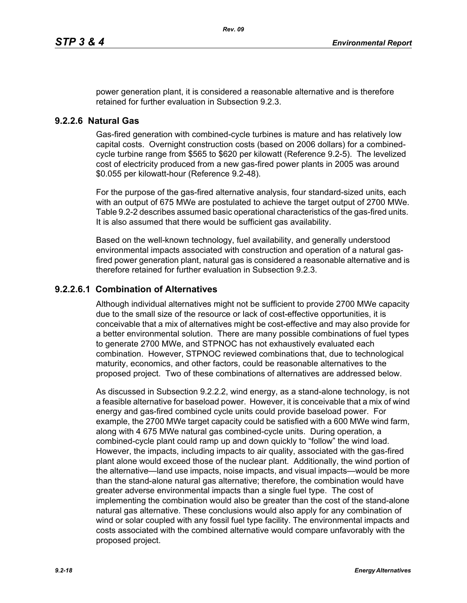power generation plant, it is considered a reasonable alternative and is therefore retained for further evaluation in Subsection 9.2.3.

#### **9.2.2.6 Natural Gas**

Gas-fired generation with combined-cycle turbines is mature and has relatively low capital costs. Overnight construction costs (based on 2006 dollars) for a combinedcycle turbine range from \$565 to \$620 per kilowatt (Reference 9.2-5). The levelized cost of electricity produced from a new gas-fired power plants in 2005 was around \$0.055 per kilowatt-hour (Reference 9.2-48).

For the purpose of the gas-fired alternative analysis, four standard-sized units, each with an output of 675 MWe are postulated to achieve the target output of 2700 MWe. Table 9.2-2 describes assumed basic operational characteristics of the gas-fired units. It is also assumed that there would be sufficient gas availability.

Based on the well-known technology, fuel availability, and generally understood environmental impacts associated with construction and operation of a natural gasfired power generation plant, natural gas is considered a reasonable alternative and is therefore retained for further evaluation in Subsection 9.2.3.

## **9.2.2.6.1 Combination of Alternatives**

Although individual alternatives might not be sufficient to provide 2700 MWe capacity due to the small size of the resource or lack of cost-effective opportunities, it is conceivable that a mix of alternatives might be cost-effective and may also provide for a better environmental solution. There are many possible combinations of fuel types to generate 2700 MWe, and STPNOC has not exhaustively evaluated each combination. However, STPNOC reviewed combinations that, due to technological maturity, economics, and other factors, could be reasonable alternatives to the proposed project. Two of these combinations of alternatives are addressed below.

As discussed in Subsection 9.2.2.2, wind energy, as a stand-alone technology, is not a feasible alternative for baseload power. However, it is conceivable that a mix of wind energy and gas-fired combined cycle units could provide baseload power. For example, the 2700 MWe target capacity could be satisfied with a 600 MWe wind farm, along with 4 675 MWe natural gas combined-cycle units. During operation, a combined-cycle plant could ramp up and down quickly to "follow" the wind load. However, the impacts, including impacts to air quality, associated with the gas-fired plant alone would exceed those of the nuclear plant. Additionally, the wind portion of the alternative—land use impacts, noise impacts, and visual impacts—would be more than the stand-alone natural gas alternative; therefore, the combination would have greater adverse environmental impacts than a single fuel type. The cost of implementing the combination would also be greater than the cost of the stand-alone natural gas alternative. These conclusions would also apply for any combination of wind or solar coupled with any fossil fuel type facility. The environmental impacts and costs associated with the combined alternative would compare unfavorably with the proposed project.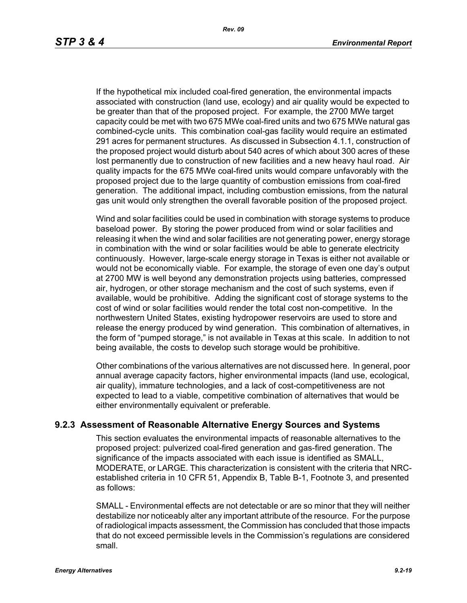If the hypothetical mix included coal-fired generation, the environmental impacts associated with construction (land use, ecology) and air quality would be expected to be greater than that of the proposed project. For example, the 2700 MWe target capacity could be met with two 675 MWe coal-fired units and two 675 MWe natural gas combined-cycle units. This combination coal-gas facility would require an estimated 291 acres for permanent structures. As discussed in Subsection 4.1.1, construction of the proposed project would disturb about 540 acres of which about 300 acres of these lost permanently due to construction of new facilities and a new heavy haul road. Air quality impacts for the 675 MWe coal-fired units would compare unfavorably with the proposed project due to the large quantity of combustion emissions from coal-fired generation. The additional impact, including combustion emissions, from the natural gas unit would only strengthen the overall favorable position of the proposed project.

Wind and solar facilities could be used in combination with storage systems to produce baseload power. By storing the power produced from wind or solar facilities and releasing it when the wind and solar facilities are not generating power, energy storage in combination with the wind or solar facilities would be able to generate electricity continuously. However, large-scale energy storage in Texas is either not available or would not be economically viable. For example, the storage of even one day's output at 2700 MW is well beyond any demonstration projects using batteries, compressed air, hydrogen, or other storage mechanism and the cost of such systems, even if available, would be prohibitive. Adding the significant cost of storage systems to the cost of wind or solar facilities would render the total cost non-competitive. In the northwestern United States, existing hydropower reservoirs are used to store and release the energy produced by wind generation. This combination of alternatives, in the form of "pumped storage," is not available in Texas at this scale. In addition to not being available, the costs to develop such storage would be prohibitive.

Other combinations of the various alternatives are not discussed here. In general, poor annual average capacity factors, higher environmental impacts (land use, ecological, air quality), immature technologies, and a lack of cost-competitiveness are not expected to lead to a viable, competitive combination of alternatives that would be either environmentally equivalent or preferable.

## **9.2.3 Assessment of Reasonable Alternative Energy Sources and Systems**

This section evaluates the environmental impacts of reasonable alternatives to the proposed project: pulverized coal-fired generation and gas-fired generation. The significance of the impacts associated with each issue is identified as SMALL, MODERATE, or LARGE. This characterization is consistent with the criteria that NRCestablished criteria in 10 CFR 51, Appendix B, Table B-1, Footnote 3, and presented as follows:

SMALL - Environmental effects are not detectable or are so minor that they will neither destabilize nor noticeably alter any important attribute of the resource. For the purpose of radiological impacts assessment, the Commission has concluded that those impacts that do not exceed permissible levels in the Commission's regulations are considered small.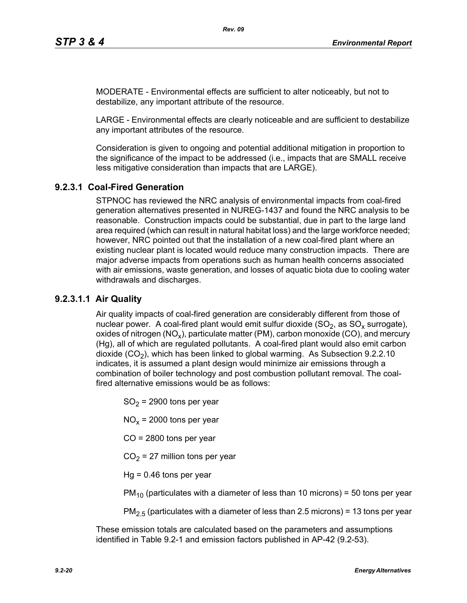MODERATE - Environmental effects are sufficient to alter noticeably, but not to destabilize, any important attribute of the resource.

LARGE - Environmental effects are clearly noticeable and are sufficient to destabilize any important attributes of the resource.

Consideration is given to ongoing and potential additional mitigation in proportion to the significance of the impact to be addressed (i.e., impacts that are SMALL receive less mitigative consideration than impacts that are LARGE).

# **9.2.3.1 Coal-Fired Generation**

STPNOC has reviewed the NRC analysis of environmental impacts from coal-fired generation alternatives presented in NUREG-1437 and found the NRC analysis to be reasonable. Construction impacts could be substantial, due in part to the large land area required (which can result in natural habitat loss) and the large workforce needed; however, NRC pointed out that the installation of a new coal-fired plant where an existing nuclear plant is located would reduce many construction impacts. There are major adverse impacts from operations such as human health concerns associated with air emissions, waste generation, and losses of aquatic biota due to cooling water withdrawals and discharges.

# **9.2.3.1.1 Air Quality**

Air quality impacts of coal-fired generation are considerably different from those of nuclear power. A coal-fired plant would emit sulfur dioxide  $(SO<sub>2</sub>)$ , as  $SO<sub>x</sub>$  surrogate), oxides of nitrogen (NO<sub>x</sub>), particulate matter (PM), carbon monoxide (CO), and mercury (Hg), all of which are regulated pollutants. A coal-fired plant would also emit carbon dioxide  $(CO<sub>2</sub>)$ , which has been linked to global warming. As Subsection 9.2.2.10 indicates, it is assumed a plant design would minimize air emissions through a combination of boiler technology and post combustion pollutant removal. The coalfired alternative emissions would be as follows:

 $SO<sub>2</sub>$  = 2900 tons per year

 $NO<sub>x</sub>$  = 2000 tons per year

CO = 2800 tons per year

 $CO<sub>2</sub> = 27$  million tons per year

 $Hq = 0.46$  tons per year

 $PM_{10}$  (particulates with a diameter of less than 10 microns) = 50 tons per year

 $PM<sub>2.5</sub>$  (particulates with a diameter of less than 2.5 microns) = 13 tons per year

These emission totals are calculated based on the parameters and assumptions identified in Table 9.2-1 and emission factors published in AP-42 (9.2-53).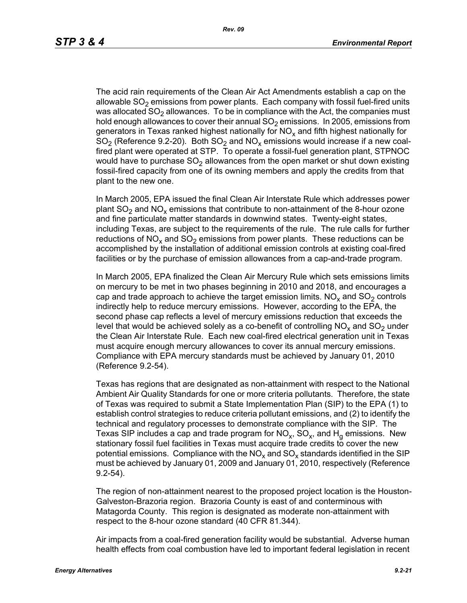The acid rain requirements of the Clean Air Act Amendments establish a cap on the allowable  $SO<sub>2</sub>$  emissions from power plants. Each company with fossil fuel-fired units was allocated  $SO<sub>2</sub>$  allowances. To be in compliance with the Act, the companies must hold enough allowances to cover their annual  $SO<sub>2</sub>$  emissions. In 2005, emissions from generators in Texas ranked highest nationally for  $NO<sub>x</sub>$  and fifth highest nationally for  $SO<sub>2</sub>$  (Reference 9.2-20). Both  $SO<sub>2</sub>$  and  $NO<sub>x</sub>$  emissions would increase if a new coalfired plant were operated at STP. To operate a fossil-fuel generation plant, STPNOC would have to purchase  $SO<sub>2</sub>$  allowances from the open market or shut down existing fossil-fired capacity from one of its owning members and apply the credits from that plant to the new one.

In March 2005, EPA issued the final Clean Air Interstate Rule which addresses power plant  $SO_2$  and  $NO_x$  emissions that contribute to non-attainment of the 8-hour ozone and fine particulate matter standards in downwind states. Twenty-eight states, including Texas, are subject to the requirements of the rule. The rule calls for further reductions of NO<sub>x</sub> and SO<sub>2</sub> emissions from power plants. These reductions can be accomplished by the installation of additional emission controls at existing coal-fired facilities or by the purchase of emission allowances from a cap-and-trade program.

In March 2005, EPA finalized the Clean Air Mercury Rule which sets emissions limits on mercury to be met in two phases beginning in 2010 and 2018, and encourages a cap and trade approach to achieve the target emission limits.  $NO<sub>x</sub>$  and  $SO<sub>2</sub>$  controls indirectly help to reduce mercury emissions. However, according to the EPA, the second phase cap reflects a level of mercury emissions reduction that exceeds the level that would be achieved solely as a co-benefit of controlling  $NO<sub>x</sub>$  and  $SO<sub>2</sub>$  under the Clean Air Interstate Rule. Each new coal-fired electrical generation unit in Texas must acquire enough mercury allowances to cover its annual mercury emissions. Compliance with EPA mercury standards must be achieved by January 01, 2010 (Reference 9.2-54).

Texas has regions that are designated as non-attainment with respect to the National Ambient Air Quality Standards for one or more criteria pollutants. Therefore, the state of Texas was required to submit a State Implementation Plan (SIP) to the EPA (1) to establish control strategies to reduce criteria pollutant emissions, and (2) to identify the technical and regulatory processes to demonstrate compliance with the SIP. The Texas SIP includes a cap and trade program for  $NO<sub>x</sub>$ ,  $SO<sub>x</sub>$ , and  $H<sub>q</sub>$  emissions. New stationary fossil fuel facilities in Texas must acquire trade credits to cover the new potential emissions. Compliance with the  $NO<sub>x</sub>$  and  $SO<sub>x</sub>$  standards identified in the SIP must be achieved by January 01, 2009 and January 01, 2010, respectively (Reference 9.2-54).

The region of non-attainment nearest to the proposed project location is the Houston-Galveston-Brazoria region. Brazoria County is east of and conterminous with Matagorda County. This region is designated as moderate non-attainment with respect to the 8-hour ozone standard (40 CFR 81.344).

Air impacts from a coal-fired generation facility would be substantial. Adverse human health effects from coal combustion have led to important federal legislation in recent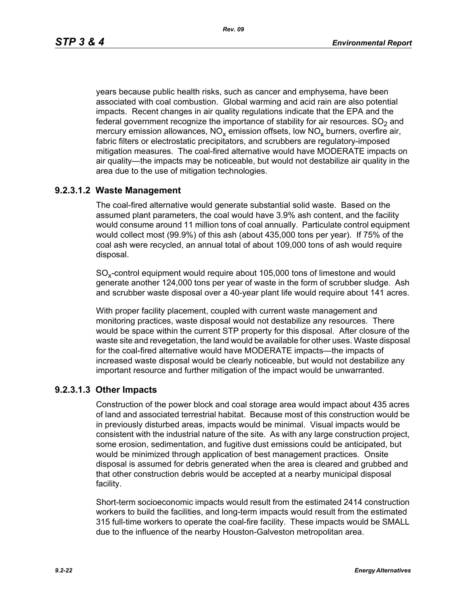*Rev. 09*

years because public health risks, such as cancer and emphysema, have been associated with coal combustion. Global warming and acid rain are also potential impacts. Recent changes in air quality regulations indicate that the EPA and the federal government recognize the importance of stability for air resources.  $SO<sub>2</sub>$  and mercury emission allowances,  $NO_x$  emission offsets, low  $NO_x$  burners, overfire air, fabric filters or electrostatic precipitators, and scrubbers are regulatory-imposed mitigation measures. The coal-fired alternative would have MODERATE impacts on air quality—the impacts may be noticeable, but would not destabilize air quality in the area due to the use of mitigation technologies.

# **9.2.3.1.2 Waste Management**

The coal-fired alternative would generate substantial solid waste. Based on the assumed plant parameters, the coal would have 3.9% ash content, and the facility would consume around 11 million tons of coal annually. Particulate control equipment would collect most (99.9%) of this ash (about 435,000 tons per year). If 75% of the coal ash were recycled, an annual total of about 109,000 tons of ash would require disposal.

SO<sub>y</sub>-control equipment would require about 105,000 tons of limestone and would generate another 124,000 tons per year of waste in the form of scrubber sludge. Ash and scrubber waste disposal over a 40-year plant life would require about 141 acres.

With proper facility placement, coupled with current waste management and monitoring practices, waste disposal would not destabilize any resources. There would be space within the current STP property for this disposal. After closure of the waste site and revegetation, the land would be available for other uses. Waste disposal for the coal-fired alternative would have MODERATE impacts—the impacts of increased waste disposal would be clearly noticeable, but would not destabilize any important resource and further mitigation of the impact would be unwarranted.

# **9.2.3.1.3 Other Impacts**

Construction of the power block and coal storage area would impact about 435 acres of land and associated terrestrial habitat. Because most of this construction would be in previously disturbed areas, impacts would be minimal. Visual impacts would be consistent with the industrial nature of the site. As with any large construction project, some erosion, sedimentation, and fugitive dust emissions could be anticipated, but would be minimized through application of best management practices. Onsite disposal is assumed for debris generated when the area is cleared and grubbed and that other construction debris would be accepted at a nearby municipal disposal facility.

Short-term socioeconomic impacts would result from the estimated 2414 construction workers to build the facilities, and long-term impacts would result from the estimated 315 full-time workers to operate the coal-fire facility. These impacts would be SMALL due to the influence of the nearby Houston-Galveston metropolitan area.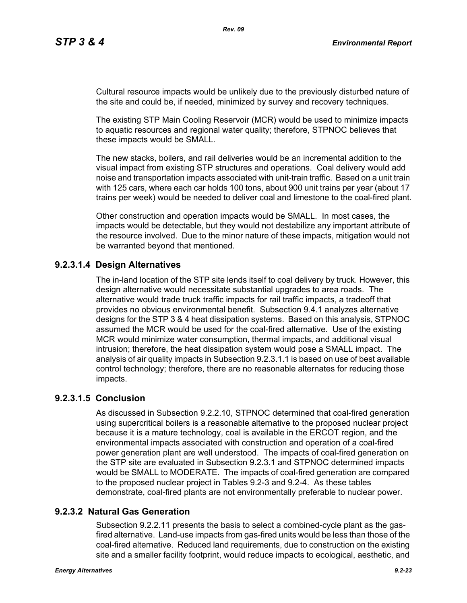Cultural resource impacts would be unlikely due to the previously disturbed nature of the site and could be, if needed, minimized by survey and recovery techniques.

The existing STP Main Cooling Reservoir (MCR) would be used to minimize impacts to aquatic resources and regional water quality; therefore, STPNOC believes that these impacts would be SMALL.

The new stacks, boilers, and rail deliveries would be an incremental addition to the visual impact from existing STP structures and operations. Coal delivery would add noise and transportation impacts associated with unit-train traffic. Based on a unit train with 125 cars, where each car holds 100 tons, about 900 unit trains per year (about 17 trains per week) would be needed to deliver coal and limestone to the coal-fired plant.

Other construction and operation impacts would be SMALL. In most cases, the impacts would be detectable, but they would not destabilize any important attribute of the resource involved. Due to the minor nature of these impacts, mitigation would not be warranted beyond that mentioned.

# **9.2.3.1.4 Design Alternatives**

The in-land location of the STP site lends itself to coal delivery by truck. However, this design alternative would necessitate substantial upgrades to area roads. The alternative would trade truck traffic impacts for rail traffic impacts, a tradeoff that provides no obvious environmental benefit. Subsection 9.4.1 analyzes alternative designs for the STP 3 & 4 heat dissipation systems. Based on this analysis, STPNOC assumed the MCR would be used for the coal-fired alternative. Use of the existing MCR would minimize water consumption, thermal impacts, and additional visual intrusion; therefore, the heat dissipation system would pose a SMALL impact. The analysis of air quality impacts in Subsection 9.2.3.1.1 is based on use of best available control technology; therefore, there are no reasonable alternates for reducing those impacts.

# **9.2.3.1.5 Conclusion**

As discussed in Subsection 9.2.2.10, STPNOC determined that coal-fired generation using supercritical boilers is a reasonable alternative to the proposed nuclear project because it is a mature technology, coal is available in the ERCOT region, and the environmental impacts associated with construction and operation of a coal-fired power generation plant are well understood. The impacts of coal-fired generation on the STP site are evaluated in Subsection 9.2.3.1 and STPNOC determined impacts would be SMALL to MODERATE. The impacts of coal-fired generation are compared to the proposed nuclear project in Tables 9.2-3 and 9.2-4. As these tables demonstrate, coal-fired plants are not environmentally preferable to nuclear power.

# **9.2.3.2 Natural Gas Generation**

Subsection 9.2.2.11 presents the basis to select a combined-cycle plant as the gasfired alternative. Land-use impacts from gas-fired units would be less than those of the coal-fired alternative. Reduced land requirements, due to construction on the existing site and a smaller facility footprint, would reduce impacts to ecological, aesthetic, and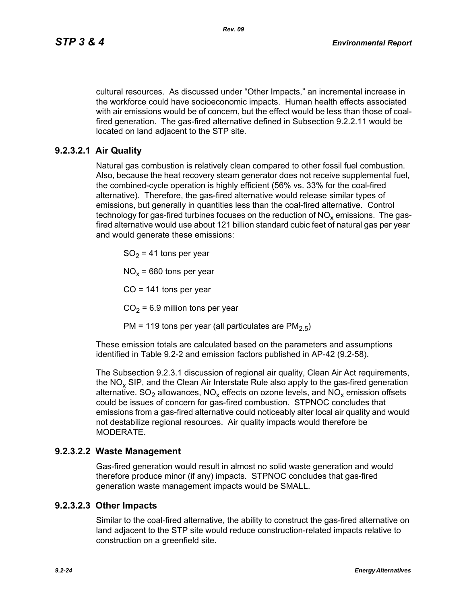cultural resources. As discussed under "Other Impacts," an incremental increase in the workforce could have socioeconomic impacts. Human health effects associated with air emissions would be of concern, but the effect would be less than those of coalfired generation. The gas-fired alternative defined in Subsection 9.2.2.11 would be located on land adjacent to the STP site.

# **9.2.3.2.1 Air Quality**

Natural gas combustion is relatively clean compared to other fossil fuel combustion. Also, because the heat recovery steam generator does not receive supplemental fuel, the combined-cycle operation is highly efficient (56% vs. 33% for the coal-fired alternative). Therefore, the gas-fired alternative would release similar types of emissions, but generally in quantities less than the coal-fired alternative. Control technology for gas-fired turbines focuses on the reduction of  $NO<sub>x</sub>$  emissions. The gasfired alternative would use about 121 billion standard cubic feet of natural gas per year and would generate these emissions:

 $SO<sub>2</sub> = 41$  tons per year

 $NO<sub>x</sub>$  = 680 tons per year

 $CO = 141$  tons per year

 $CO<sub>2</sub> = 6.9$  million tons per year

PM = 119 tons per year (all particulates are  $PM<sub>2.5</sub>$ )

These emission totals are calculated based on the parameters and assumptions identified in Table 9.2-2 and emission factors published in AP-42 (9.2-58).

The Subsection 9.2.3.1 discussion of regional air quality, Clean Air Act requirements, the  $NO<sub>x</sub>$  SIP, and the Clean Air Interstate Rule also apply to the gas-fired generation alternative.  $SO_2$  allowances,  $NO_x$  effects on ozone levels, and  $NO_x$  emission offsets could be issues of concern for gas-fired combustion. STPNOC concludes that emissions from a gas-fired alternative could noticeably alter local air quality and would not destabilize regional resources. Air quality impacts would therefore be MODERATE.

## **9.2.3.2.2 Waste Management**

Gas-fired generation would result in almost no solid waste generation and would therefore produce minor (if any) impacts. STPNOC concludes that gas-fired generation waste management impacts would be SMALL.

## **9.2.3.2.3 Other Impacts**

Similar to the coal-fired alternative, the ability to construct the gas-fired alternative on land adjacent to the STP site would reduce construction-related impacts relative to construction on a greenfield site.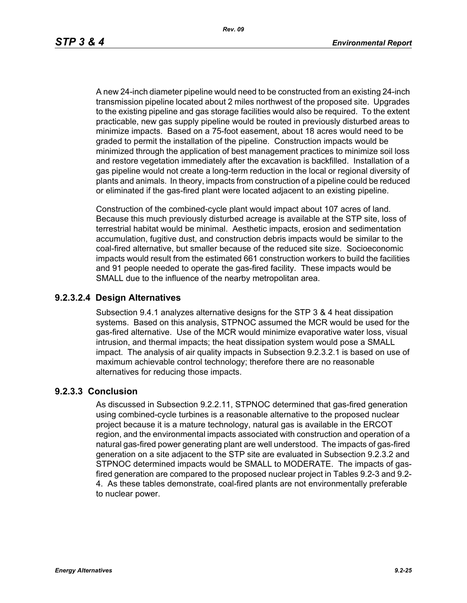*Rev. 09*

A new 24-inch diameter pipeline would need to be constructed from an existing 24-inch transmission pipeline located about 2 miles northwest of the proposed site. Upgrades to the existing pipeline and gas storage facilities would also be required. To the extent practicable, new gas supply pipeline would be routed in previously disturbed areas to minimize impacts. Based on a 75-foot easement, about 18 acres would need to be graded to permit the installation of the pipeline. Construction impacts would be minimized through the application of best management practices to minimize soil loss and restore vegetation immediately after the excavation is backfilled. Installation of a gas pipeline would not create a long-term reduction in the local or regional diversity of plants and animals. In theory, impacts from construction of a pipeline could be reduced or eliminated if the gas-fired plant were located adjacent to an existing pipeline.

Construction of the combined-cycle plant would impact about 107 acres of land. Because this much previously disturbed acreage is available at the STP site, loss of terrestrial habitat would be minimal. Aesthetic impacts, erosion and sedimentation accumulation, fugitive dust, and construction debris impacts would be similar to the coal-fired alternative, but smaller because of the reduced site size. Socioeconomic impacts would result from the estimated 661 construction workers to build the facilities and 91 people needed to operate the gas-fired facility. These impacts would be SMALL due to the influence of the nearby metropolitan area.

## **9.2.3.2.4 Design Alternatives**

Subsection 9.4.1 analyzes alternative designs for the STP 3 & 4 heat dissipation systems. Based on this analysis, STPNOC assumed the MCR would be used for the gas-fired alternative. Use of the MCR would minimize evaporative water loss, visual intrusion, and thermal impacts; the heat dissipation system would pose a SMALL impact. The analysis of air quality impacts in Subsection 9.2.3.2.1 is based on use of maximum achievable control technology; therefore there are no reasonable alternatives for reducing those impacts.

# **9.2.3.3 Conclusion**

As discussed in Subsection 9.2.2.11, STPNOC determined that gas-fired generation using combined-cycle turbines is a reasonable alternative to the proposed nuclear project because it is a mature technology, natural gas is available in the ERCOT region, and the environmental impacts associated with construction and operation of a natural gas-fired power generating plant are well understood. The impacts of gas-fired generation on a site adjacent to the STP site are evaluated in Subsection 9.2.3.2 and STPNOC determined impacts would be SMALL to MODERATE. The impacts of gasfired generation are compared to the proposed nuclear project in Tables 9.2-3 and 9.2- 4. As these tables demonstrate, coal-fired plants are not environmentally preferable to nuclear power.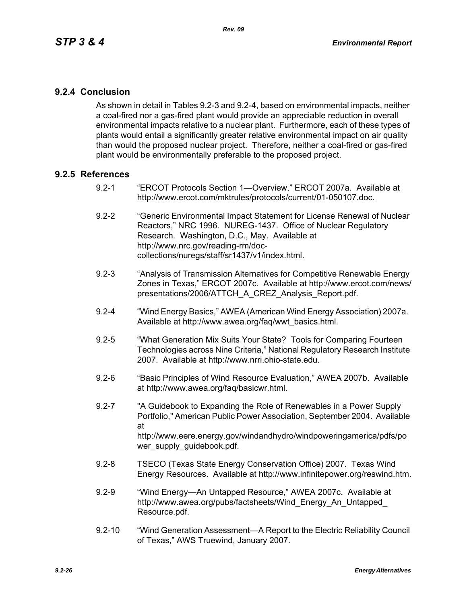# **9.2.4 Conclusion**

As shown in detail in Tables 9.2-3 and 9.2-4, based on environmental impacts, neither a coal-fired nor a gas-fired plant would provide an appreciable reduction in overall environmental impacts relative to a nuclear plant. Furthermore, each of these types of plants would entail a significantly greater relative environmental impact on air quality than would the proposed nuclear project. Therefore, neither a coal-fired or gas-fired plant would be environmentally preferable to the proposed project.

## **9.2.5 References**

- 9.2-1 "ERCOT Protocols Section 1—Overview," ERCOT 2007a. Available at http://www.ercot.com/mktrules/protocols/current/01-050107.doc.
- 9.2-2 "Generic Environmental Impact Statement for License Renewal of Nuclear Reactors," NRC 1996. NUREG-1437. Office of Nuclear Regulatory Research. Washington, D.C., May. Available at http://www.nrc.gov/reading-rm/doccollections/nuregs/staff/sr1437/v1/index.html.
- 9.2-3 "Analysis of Transmission Alternatives for Competitive Renewable Energy Zones in Texas," ERCOT 2007c. Available at http://www.ercot.com/news/ presentations/2006/ATTCH\_A\_CREZ\_Analysis\_Report.pdf.
- 9.2-4 "Wind Energy Basics," AWEA (American Wind Energy Association) 2007a. Available at http://www.awea.org/faq/wwt\_basics.html.
- 9.2-5 "What Generation Mix Suits Your State? Tools for Comparing Fourteen Technologies across Nine Criteria," National Regulatory Research Institute 2007. Available at http://www.nrri.ohio-state.edu.
- 9.2-6 "Basic Principles of Wind Resource Evaluation," AWEA 2007b. Available at http://www.awea.org/faq/basicwr.html.
- 9.2-7 "A Guidebook to Expanding the Role of Renewables in a Power Supply Portfolio," American Public Power Association, September 2004. Available at http://www.eere.energy.gov/windandhydro/windpoweringamerica/pdfs/po wer\_supply\_guidebook.pdf.
- 9.2-8 TSECO (Texas State Energy Conservation Office) 2007. Texas Wind Energy Resources. Available at http://www.infinitepower.org/reswind.htm.
- 9.2-9 "Wind Energy—An Untapped Resource," AWEA 2007c. Available at http://www.awea.org/pubs/factsheets/Wind\_Energy\_An\_Untapped\_ Resource.pdf.
- 9.2-10 "Wind Generation Assessment—A Report to the Electric Reliability Council of Texas," AWS Truewind, January 2007.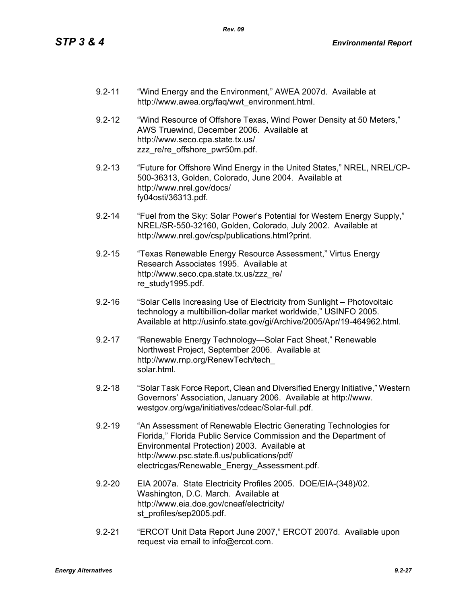- 9.2-11 "Wind Energy and the Environment," AWEA 2007d. Available at http://www.awea.org/faq/wwt\_environment.html.
- 9.2-12 "Wind Resource of Offshore Texas, Wind Power Density at 50 Meters," AWS Truewind, December 2006. Available at http://www.seco.cpa.state.tx.us/ zzz\_re/re\_offshore\_pwr50m.pdf.
- 9.2-13 "Future for Offshore Wind Energy in the United States," NREL, NREL/CP-500-36313, Golden, Colorado, June 2004. Available at http://www.nrel.gov/docs/ fy04osti/36313.pdf.
- 9.2-14 "Fuel from the Sky: Solar Power's Potential for Western Energy Supply," NREL/SR-550-32160, Golden, Colorado, July 2002. Available at http://www.nrel.gov/csp/publications.html?print.
- 9.2-15 "Texas Renewable Energy Resource Assessment," Virtus Energy Research Associates 1995. Available at http://www.seco.cpa.state.tx.us/zzz\_re/ re\_study1995.pdf.
- 9.2-16 "Solar Cells Increasing Use of Electricity from Sunlight Photovoltaic technology a multibillion-dollar market worldwide," USINFO 2005. Available at http://usinfo.state.gov/gi/Archive/2005/Apr/19-464962.html.
- 9.2-17 "Renewable Energy Technology—Solar Fact Sheet," Renewable Northwest Project, September 2006. Available at http://www.rnp.org/RenewTech/tech\_ solar.html.
- 9.2-18 "Solar Task Force Report, Clean and Diversified Energy Initiative," Western Governors' Association, January 2006. Available at http://www. westgov.org/wga/initiatives/cdeac/Solar-full.pdf.
- 9.2-19 "An Assessment of Renewable Electric Generating Technologies for Florida," Florida Public Service Commission and the Department of Environmental Protection) 2003. Available at http://www.psc.state.fl.us/publications/pdf/ electricgas/Renewable\_Energy\_Assessment.pdf.
- 9.2-20 EIA 2007a. State Electricity Profiles 2005. DOE/EIA-(348)/02. Washington, D.C. March. Available at http://www.eia.doe.gov/cneaf/electricity/ st\_profiles/sep2005.pdf.
- 9.2-21 "ERCOT Unit Data Report June 2007," ERCOT 2007d. Available upon request via email to info@ercot.com.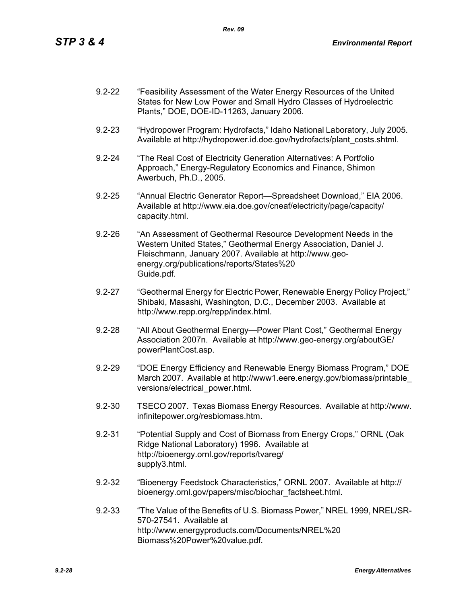| $9.2 - 22$ | "Feasibility Assessment of the Water Energy Resources of the United |
|------------|---------------------------------------------------------------------|
|            | States for New Low Power and Small Hydro Classes of Hydroelectric   |
|            | Plants," DOE, DOE-ID-11263, January 2006.                           |

- 9.2-23 "Hydropower Program: Hydrofacts," Idaho National Laboratory, July 2005. Available at http://hydropower.id.doe.gov/hydrofacts/plant\_costs.shtml.
- 9.2-24 "The Real Cost of Electricity Generation Alternatives: A Portfolio Approach," Energy-Regulatory Economics and Finance, Shimon Awerbuch, Ph.D., 2005.
- 9.2-25 "Annual Electric Generator Report—Spreadsheet Download," EIA 2006. Available at http://www.eia.doe.gov/cneaf/electricity/page/capacity/ capacity.html.
- 9.2-26 "An Assessment of Geothermal Resource Development Needs in the Western United States," Geothermal Energy Association, Daniel J. Fleischmann, January 2007. Available at http://www.geoenergy.org/publications/reports/States%20 Guide.pdf.
- 9.2-27 "Geothermal Energy for Electric Power, Renewable Energy Policy Project," Shibaki, Masashi, Washington, D.C., December 2003. Available at http://www.repp.org/repp/index.html.
- 9.2-28 "All About Geothermal Energy—Power Plant Cost," Geothermal Energy Association 2007n. Available at http://www.geo-energy.org/aboutGE/ powerPlantCost.asp.
- 9.2-29 "DOE Energy Efficiency and Renewable Energy Biomass Program," DOE March 2007. Available at http://www1.eere.energy.gov/biomass/printable\_ versions/electrical\_power.html.
- 9.2-30 TSECO 2007. Texas Biomass Energy Resources. Available at http://www. infinitepower.org/resbiomass.htm.
- 9.2-31 "Potential Supply and Cost of Biomass from Energy Crops," ORNL (Oak Ridge National Laboratory) 1996. Available at http://bioenergy.ornl.gov/reports/tvareg/ supply3.html.
- 9.2-32 "Bioenergy Feedstock Characteristics," ORNL 2007. Available at http:// bioenergy.ornl.gov/papers/misc/biochar\_factsheet.html.
- 9.2-33 "The Value of the Benefits of U.S. Biomass Power," NREL 1999, NREL/SR-570-27541. Available at http://www.energyproducts.com/Documents/NREL%20 Biomass%20Power%20value.pdf.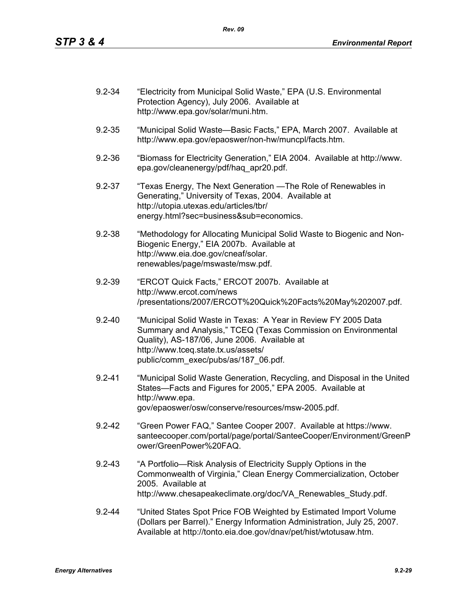| $9.2 - 34$ | "Electricity from Municipal Solid Waste," EPA (U.S. Environmental<br>Protection Agency), July 2006. Available at<br>http://www.epa.gov/solar/muni.htm.                                                                                                          |
|------------|-----------------------------------------------------------------------------------------------------------------------------------------------------------------------------------------------------------------------------------------------------------------|
| $9.2 - 35$ | "Municipal Solid Waste-Basic Facts," EPA, March 2007. Available at<br>http://www.epa.gov/epaoswer/non-hw/muncpl/facts.htm.                                                                                                                                      |
| $9.2 - 36$ | "Biomass for Electricity Generation," EIA 2004. Available at http://www.<br>epa.gov/cleanenergy/pdf/haq apr20.pdf.                                                                                                                                              |
| $9.2 - 37$ | "Texas Energy, The Next Generation — The Role of Renewables in<br>Generating," University of Texas, 2004. Available at<br>http://utopia.utexas.edu/articles/tbr/<br>energy.html?sec=business⊂=economics.                                                        |
| $9.2 - 38$ | "Methodology for Allocating Municipal Solid Waste to Biogenic and Non-<br>Biogenic Energy," EIA 2007b. Available at<br>http://www.eia.doe.gov/cneaf/solar.<br>renewables/page/mswaste/msw.pdf.                                                                  |
| $9.2 - 39$ | "ERCOT Quick Facts," ERCOT 2007b. Available at<br>http://www.ercot.com/news<br>/presentations/2007/ERCOT%20Quick%20Facts%20May%202007.pdf.                                                                                                                      |
| $9.2 - 40$ | "Municipal Solid Waste in Texas: A Year in Review FY 2005 Data<br>Summary and Analysis," TCEQ (Texas Commission on Environmental<br>Quality), AS-187/06, June 2006. Available at<br>http://www.tceq.state.tx.us/assets/<br>public/comm_exec/pubs/as/187_06.pdf. |
| $9.2 - 41$ | "Municipal Solid Waste Generation, Recycling, and Disposal in the United<br>States-Facts and Figures for 2005," EPA 2005. Available at<br>http://www.epa.<br>gov/epaoswer/osw/conserve/resources/msw-2005.pdf.                                                  |
| $9.2 - 42$ | "Green Power FAQ," Santee Cooper 2007. Available at https://www.<br>santeecooper.com/portal/page/portal/SanteeCooper/Environment/GreenP<br>ower/GreenPower%20FAQ.                                                                                               |
| $9.2 - 43$ | "A Portfolio—Risk Analysis of Electricity Supply Options in the<br>Commonwealth of Virginia," Clean Energy Commercialization, October<br>2005. Available at<br>http://www.chesapeakeclimate.org/doc/VA Renewables Study.pdf.                                    |
| $9.2 - 44$ | "United States Spot Price FOB Weighted by Estimated Import Volume<br>(Dollars per Barrel)." Energy Information Administration, July 25, 2007.<br>Available at http://tonto.eia.doe.gov/dnav/pet/hist/wtotusaw.htm.                                              |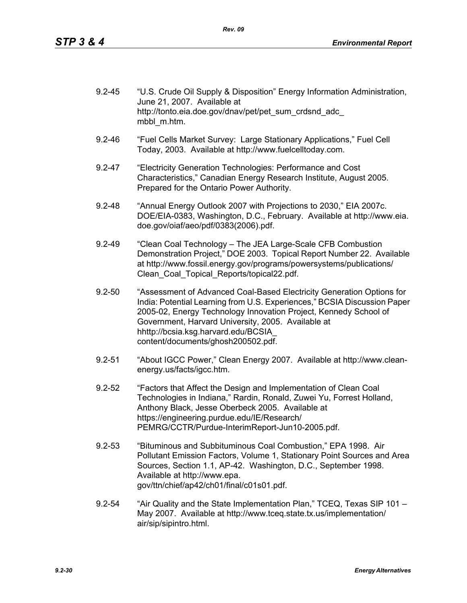| $9.2 - 45$ | "U.S. Crude Oil Supply & Disposition" Energy Information Administration,<br>June 21, 2007. Available at |
|------------|---------------------------------------------------------------------------------------------------------|
|            | http://tonto.eia.doe.gov/dnav/pet/pet sum crdsnd adc<br>mbbl m.htm.                                     |

- 9.2-46 "Fuel Cells Market Survey: Large Stationary Applications," Fuel Cell Today, 2003. Available at http://www.fuelcelltoday.com.
- 9.2-47 "Electricity Generation Technologies: Performance and Cost Characteristics," Canadian Energy Research Institute, August 2005. Prepared for the Ontario Power Authority.
- 9.2-48 "Annual Energy Outlook 2007 with Projections to 2030," EIA 2007c. DOE/EIA-0383, Washington, D.C., February. Available at http://www.eia. doe.gov/oiaf/aeo/pdf/0383(2006).pdf.
- 9.2-49 "Clean Coal Technology The JEA Large-Scale CFB Combustion Demonstration Project," DOE 2003. Topical Report Number 22. Available at http://www.fossil.energy.gov/programs/powersystems/publications/ Clean\_Coal\_Topical\_Reports/topical22.pdf.
- 9.2-50 "Assessment of Advanced Coal-Based Electricity Generation Options for India: Potential Learning from U.S. Experiences," BCSIA Discussion Paper 2005-02, Energy Technology Innovation Project, Kennedy School of Government, Harvard University, 2005. Available at hhttp://bcsia.ksg.harvard.edu/BCSIA\_ content/documents/ghosh200502.pdf.
- 9.2-51 "About IGCC Power," Clean Energy 2007. Available at http://www.cleanenergy.us/facts/igcc.htm.
- 9.2-52 "Factors that Affect the Design and Implementation of Clean Coal Technologies in Indiana," Rardin, Ronald, Zuwei Yu, Forrest Holland, Anthony Black, Jesse Oberbeck 2005. Available at https://engineering.purdue.edu/IE/Research/ PEMRG/CCTR/Purdue-InterimReport-Jun10-2005.pdf.
- 9.2-53 "Bituminous and Subbituminous Coal Combustion," EPA 1998. Air Pollutant Emission Factors, Volume 1, Stationary Point Sources and Area Sources, Section 1.1, AP-42. Washington, D.C., September 1998. Available at http://www.epa. gov/ttn/chief/ap42/ch01/final/c01s01.pdf.
- 9.2-54 "Air Quality and the State Implementation Plan," TCEQ, Texas SIP 101 May 2007. Available at http://www.tceq.state.tx.us/implementation/ air/sip/sipintro.html.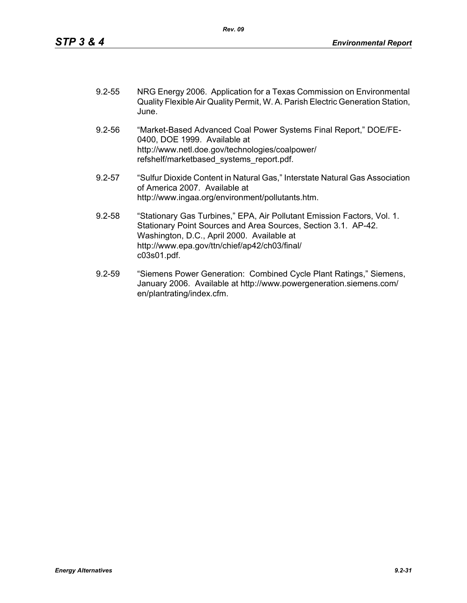| $9.2 - 55$ | NRG Energy 2006. Application for a Texas Commission on Environmental           |
|------------|--------------------------------------------------------------------------------|
|            | Quality Flexible Air Quality Permit, W. A. Parish Electric Generation Station, |
|            | June.                                                                          |

- 9.2-56 "Market-Based Advanced Coal Power Systems Final Report," DOE/FE-0400, DOE 1999. Available at http://www.netl.doe.gov/technologies/coalpower/ refshelf/marketbased\_systems\_report.pdf.
- 9.2-57 "Sulfur Dioxide Content in Natural Gas," Interstate Natural Gas Association of America 2007. Available at http://www.ingaa.org/environment/pollutants.htm.
- 9.2-58 "Stationary Gas Turbines," EPA, Air Pollutant Emission Factors, Vol. 1. Stationary Point Sources and Area Sources, Section 3.1. AP-42. Washington, D.C., April 2000. Available at http://www.epa.gov/ttn/chief/ap42/ch03/final/ c03s01.pdf.
- 9.2-59 "Siemens Power Generation: Combined Cycle Plant Ratings," Siemens, January 2006. Available at http://www.powergeneration.siemens.com/ en/plantrating/index.cfm.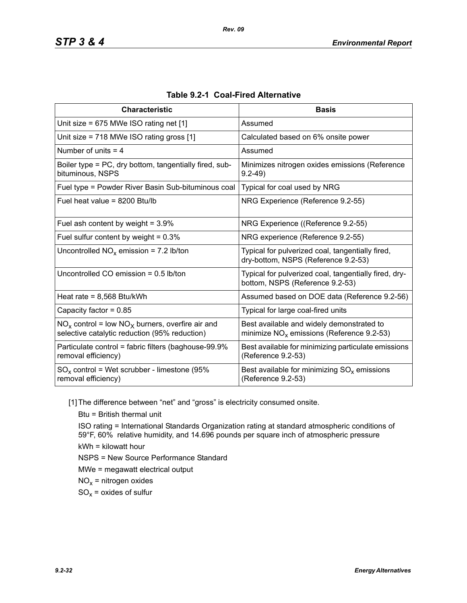| <b>Characteristic</b>                                                                                  | <b>Basis</b>                                                                              |
|--------------------------------------------------------------------------------------------------------|-------------------------------------------------------------------------------------------|
| Unit size = $675$ MWe ISO rating net [1]                                                               | Assumed                                                                                   |
| Unit size = 718 MWe ISO rating gross [1]                                                               | Calculated based on 6% onsite power                                                       |
| Number of units $=$ 4                                                                                  | Assumed                                                                                   |
| Boiler type = PC, dry bottom, tangentially fired, sub-<br>bituminous, NSPS                             | Minimizes nitrogen oxides emissions (Reference<br>$9.2 - 49$                              |
| Fuel type = Powder River Basin Sub-bituminous coal                                                     | Typical for coal used by NRG                                                              |
| Fuel heat value = $8200$ Btu/lb                                                                        | NRG Experience (Reference 9.2-55)                                                         |
| Fuel ash content by weight = $3.9\%$                                                                   | NRG Experience ((Reference 9.2-55)                                                        |
| Fuel sulfur content by weight = $0.3\%$                                                                | NRG experience (Reference 9.2-55)                                                         |
| Uncontrolled $NO_x$ emission = 7.2 lb/ton                                                              | Typical for pulverized coal, tangentially fired,<br>dry-bottom, NSPS (Reference 9.2-53)   |
| Uncontrolled CO emission $= 0.5$ lb/ton                                                                | Typical for pulverized coal, tangentially fired, dry-<br>bottom, NSPS (Reference 9.2-53)  |
| Heat rate = $8,568$ Btu/kWh                                                                            | Assumed based on DOE data (Reference 9.2-56)                                              |
| Capacity factor = $0.85$                                                                               | Typical for large coal-fired units                                                        |
| $NO_x$ control = low $NO_x$ burners, overfire air and<br>selective catalytic reduction (95% reduction) | Best available and widely demonstrated to<br>minimize $NO_x$ emissions (Reference 9.2-53) |
| Particulate control = fabric filters (baghouse-99.9%<br>removal efficiency)                            | Best available for minimizing particulate emissions<br>(Reference 9.2-53)                 |
| $SO_x$ control = Wet scrubber - limestone (95%<br>removal efficiency)                                  | Best available for minimizing $SO_{x}$ emissions<br>(Reference 9.2-53)                    |

| Table 9.2-1 Coal-Fired Alternative |  |
|------------------------------------|--|
|------------------------------------|--|

[1] The difference between "net" and "gross" is electricity consumed onsite.

Btu = British thermal unit

ISO rating = International Standards Organization rating at standard atmospheric conditions of 59°F, 60% relative humidity, and 14.696 pounds per square inch of atmospheric pressure kWh = kilowatt hour

NSPS = New Source Performance Standard

MWe = megawatt electrical output

 $NO<sub>x</sub>$  = nitrogen oxides

 $SO_x =$  oxides of sulfur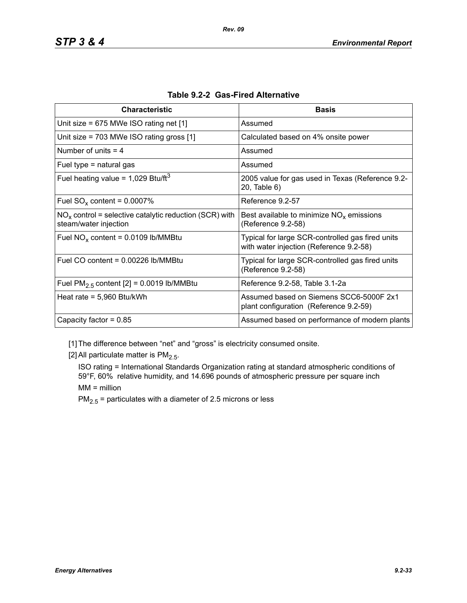| <b>Characteristic</b>                                                             | <b>Basis</b>                                                                                |
|-----------------------------------------------------------------------------------|---------------------------------------------------------------------------------------------|
| Unit size = $675$ MWe ISO rating net [1]                                          | Assumed                                                                                     |
| Unit size = $703$ MWe ISO rating gross [1]                                        | Calculated based on 4% onsite power                                                         |
| Number of units $=$ 4                                                             | Assumed                                                                                     |
| Fuel type $=$ natural gas                                                         | Assumed                                                                                     |
| Fuel heating value = $1,029$ Btu/ft <sup>3</sup>                                  | 2005 value for gas used in Texas (Reference 9.2-<br>20, Table 6)                            |
| Fuel $SO_x$ content = 0.0007%                                                     | Reference 9.2-57                                                                            |
| $NOx$ control = selective catalytic reduction (SCR) with<br>steam/water injection | Best available to minimize $NOx$ emissions<br>(Reference 9.2-58)                            |
| Fuel $NO_x$ content = 0.0109 lb/MMBtu                                             | Typical for large SCR-controlled gas fired units<br>with water injection (Reference 9.2-58) |
| Fuel CO content = $0.00226$ lb/MMBtu                                              | Typical for large SCR-controlled gas fired units<br>(Reference 9.2-58)                      |
| Fuel $PM2.5$ content [2] = 0.0019 lb/MMBtu                                        | Reference 9.2-58, Table 3.1-2a                                                              |
| Heat rate = $5,960$ Btu/kWh                                                       | Assumed based on Siemens SCC6-5000F 2x1<br>plant configuration (Reference 9.2-59)           |
| Capacity factor = $0.85$                                                          | Assumed based on performance of modern plants                                               |

|  |  | Table 9.2-2 Gas-Fired Alternative |
|--|--|-----------------------------------|
|--|--|-----------------------------------|

[1] The difference between "net" and "gross" is electricity consumed onsite.

[2] All particulate matter is  $PM<sub>2.5</sub>$ .

ISO rating = International Standards Organization rating at standard atmospheric conditions of 59°F, 60% relative humidity, and 14.696 pounds of atmospheric pressure per square inch MM = million

 $PM_{2.5}$  = particulates with a diameter of 2.5 microns or less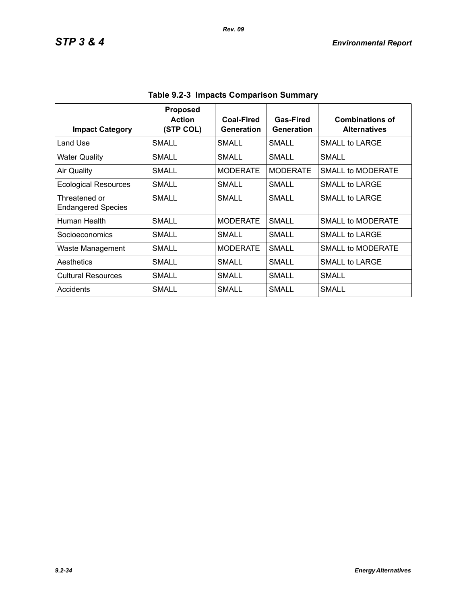| <b>Impact Category</b>                     | <b>Proposed</b><br><b>Action</b><br>(STP COL) | Coal-Fired<br>Generation | Gas-Fired<br>Generation | <b>Combinations of</b><br><b>Alternatives</b> |
|--------------------------------------------|-----------------------------------------------|--------------------------|-------------------------|-----------------------------------------------|
| Land Use                                   | <b>SMALL</b>                                  | SMALL                    | <b>SMALL</b>            | SMALL to LARGE                                |
| <b>Water Quality</b>                       | SMALL                                         | SMALL                    | SMALL                   | SMALL                                         |
| <b>Air Quality</b>                         | <b>SMALL</b>                                  | <b>MODERATE</b>          | <b>MODERATE</b>         | <b>SMALL to MODERATE</b>                      |
| <b>Ecological Resources</b>                | SMALL                                         | SMALL                    | SMALL                   | SMALL to LARGE                                |
| Threatened or<br><b>Endangered Species</b> | <b>SMALL</b>                                  | <b>SMALL</b>             | SMALL                   | SMALL to LARGE                                |
| Human Health                               | <b>SMALL</b>                                  | <b>MODERATE</b>          | <b>SMALL</b>            | SMALL to MODERATE                             |
| Socioeconomics                             | SMALL                                         | SMALL                    | SMALL                   | SMALL to LARGE                                |
| Waste Management                           | <b>SMALL</b>                                  | <b>MODERATE</b>          | SMALL                   | SMALL to MODERATE                             |
| Aesthetics                                 | SMALL                                         | SMALL                    | SMALL                   | SMALL to LARGE                                |
| <b>Cultural Resources</b>                  | <b>SMALL</b>                                  | SMALL                    | SMALL                   | SMALL                                         |
| Accidents                                  | SMALL                                         | <b>SMALL</b>             | SMALL                   | <b>SMALL</b>                                  |

**Table 9.2-3 Impacts Comparison Summary**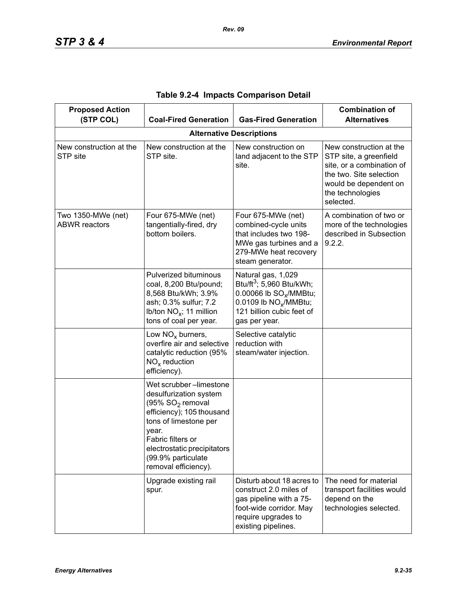| <b>Proposed Action</b><br>(STP COL)        | <b>Coal-Fired Generation</b>                                                                                                                                                                                                                      | <b>Gas-Fired Generation</b>                                                                                                                                                         | <b>Combination of</b><br><b>Alternatives</b>                                                                                                                        |
|--------------------------------------------|---------------------------------------------------------------------------------------------------------------------------------------------------------------------------------------------------------------------------------------------------|-------------------------------------------------------------------------------------------------------------------------------------------------------------------------------------|---------------------------------------------------------------------------------------------------------------------------------------------------------------------|
|                                            |                                                                                                                                                                                                                                                   | <b>Alternative Descriptions</b>                                                                                                                                                     |                                                                                                                                                                     |
| New construction at the<br>STP site        | New construction at the<br>STP site.                                                                                                                                                                                                              | New construction on<br>land adjacent to the STP<br>site.                                                                                                                            | New construction at the<br>STP site, a greenfield<br>site, or a combination of<br>the two. Site selection<br>would be dependent on<br>the technologies<br>selected. |
| Two 1350-MWe (net)<br><b>ABWR</b> reactors | Four 675-MWe (net)<br>tangentially-fired, dry<br>bottom boilers.                                                                                                                                                                                  | Four 675-MWe (net)<br>combined-cycle units<br>that includes two 198-<br>MWe gas turbines and a<br>279-MWe heat recovery<br>steam generator.                                         | A combination of two or<br>more of the technologies<br>described in Subsection<br>9.2.2.                                                                            |
|                                            | Pulverized bituminous<br>coal, 8,200 Btu/pound;<br>8,568 Btu/kWh; 3.9%<br>ash; 0.3% sulfur; 7.2<br>Ib/ton $NO_x$ ; 11 million<br>tons of coal per year.                                                                                           | Natural gas, 1,029<br>Btu/ft <sup>3</sup> ; 5,960 Btu/kWh;<br>0.00066 lb SO <sub>v</sub> /MMBtu;<br>0.0109 lb NO <sub>x</sub> /MMBtu;<br>121 billion cubic feet of<br>gas per year. |                                                                                                                                                                     |
|                                            | Low $NOx$ burners,<br>overfire air and selective<br>catalytic reduction (95%<br>$NOx$ reduction<br>efficiency).                                                                                                                                   | Selective catalytic<br>reduction with<br>steam/water injection.                                                                                                                     |                                                                                                                                                                     |
|                                            | Wet scrubber-limestone<br>desulfurization system<br>(95% SO <sub>2</sub> removal<br>efficiency); 105 thousand<br>tons of limestone per<br>year.<br>Fabric filters or<br>electrostatic precipitators<br>(99.9% particulate<br>removal efficiency). |                                                                                                                                                                                     |                                                                                                                                                                     |
|                                            | Upgrade existing rail<br>spur.                                                                                                                                                                                                                    | Disturb about 18 acres to<br>construct 2.0 miles of<br>gas pipeline with a 75-<br>foot-wide corridor. May<br>require upgrades to<br>existing pipelines.                             | The need for material<br>transport facilities would<br>depend on the<br>technologies selected.                                                                      |

|  |  |  | Table 9.2-4 Impacts Comparison Detail |  |
|--|--|--|---------------------------------------|--|
|--|--|--|---------------------------------------|--|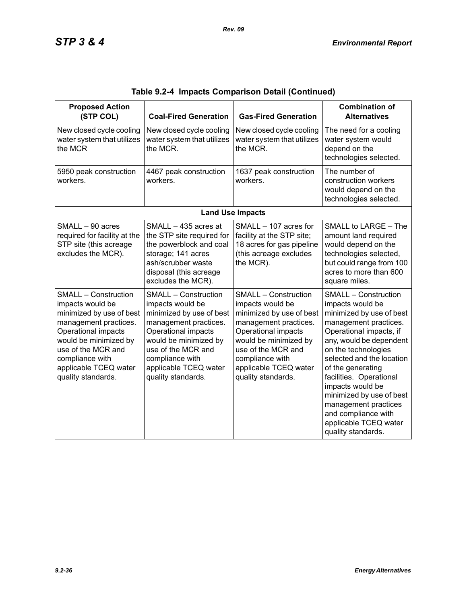| <b>Proposed Action</b><br>(STP COL)                                                                                                                                                                                                          | <b>Coal-Fired Generation</b>                                                                                                                                                                                                                 | <b>Gas-Fired Generation</b>                                                                                                                                                                                                                  | <b>Combination of</b><br><b>Alternatives</b>                                                                                                                                                                                                                                                                                                                                                                 |
|----------------------------------------------------------------------------------------------------------------------------------------------------------------------------------------------------------------------------------------------|----------------------------------------------------------------------------------------------------------------------------------------------------------------------------------------------------------------------------------------------|----------------------------------------------------------------------------------------------------------------------------------------------------------------------------------------------------------------------------------------------|--------------------------------------------------------------------------------------------------------------------------------------------------------------------------------------------------------------------------------------------------------------------------------------------------------------------------------------------------------------------------------------------------------------|
| New closed cycle cooling<br>water system that utilizes<br>the MCR                                                                                                                                                                            | New closed cycle cooling<br>water system that utilizes<br>the MCR.                                                                                                                                                                           | New closed cycle cooling<br>water system that utilizes<br>the MCR.                                                                                                                                                                           | The need for a cooling<br>water system would<br>depend on the<br>technologies selected.                                                                                                                                                                                                                                                                                                                      |
| 5950 peak construction<br>workers.                                                                                                                                                                                                           | 4467 peak construction<br>workers.                                                                                                                                                                                                           | 1637 peak construction<br>workers.                                                                                                                                                                                                           | The number of<br>construction workers<br>would depend on the<br>technologies selected.                                                                                                                                                                                                                                                                                                                       |
|                                                                                                                                                                                                                                              |                                                                                                                                                                                                                                              | <b>Land Use Impacts</b>                                                                                                                                                                                                                      |                                                                                                                                                                                                                                                                                                                                                                                                              |
| SMALL - 90 acres<br>required for facility at the<br>STP site (this acreage<br>excludes the MCR).                                                                                                                                             | SMALL - 435 acres at<br>the STP site required for<br>the powerblock and coal<br>storage; 141 acres<br>ash/scrubber waste<br>disposal (this acreage<br>excludes the MCR).                                                                     | SMALL - 107 acres for<br>facility at the STP site;<br>18 acres for gas pipeline<br>(this acreage excludes<br>the MCR).                                                                                                                       | SMALL to LARGE - The<br>amount land required<br>would depend on the<br>technologies selected,<br>but could range from 100<br>acres to more than 600<br>square miles.                                                                                                                                                                                                                                         |
| <b>SMALL - Construction</b><br>impacts would be<br>minimized by use of best<br>management practices.<br>Operational impacts<br>would be minimized by<br>use of the MCR and<br>compliance with<br>applicable TCEQ water<br>quality standards. | <b>SMALL - Construction</b><br>impacts would be<br>minimized by use of best<br>management practices.<br>Operational impacts<br>would be minimized by<br>use of the MCR and<br>compliance with<br>applicable TCEQ water<br>quality standards. | <b>SMALL - Construction</b><br>impacts would be<br>minimized by use of best<br>management practices.<br>Operational impacts<br>would be minimized by<br>use of the MCR and<br>compliance with<br>applicable TCEQ water<br>quality standards. | <b>SMALL - Construction</b><br>impacts would be<br>minimized by use of best<br>management practices.<br>Operational impacts, if<br>any, would be dependent<br>on the technologies<br>selected and the location<br>of the generating<br>facilities. Operational<br>impacts would be<br>minimized by use of best<br>management practices<br>and compliance with<br>applicable TCEQ water<br>quality standards. |

|  |  | Table 9.2-4  Impacts Comparison Detail (Continued) |  |  |
|--|--|----------------------------------------------------|--|--|
|--|--|----------------------------------------------------|--|--|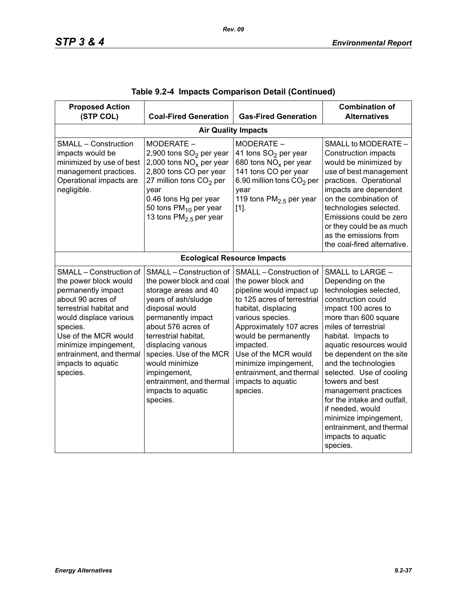| <b>Proposed Action</b><br>(STP COL)                                                                                                                                                                                                                                         | <b>Coal-Fired Generation</b>                                                                                                                                                                                                                                                                                                              | <b>Gas-Fired Generation</b>                                                                                                                                                                                                                                                                                                         | <b>Combination of</b><br><b>Alternatives</b>                                                                                                                                                                                                                                                                                                                                                                                                                                       |  |  |  |  |
|-----------------------------------------------------------------------------------------------------------------------------------------------------------------------------------------------------------------------------------------------------------------------------|-------------------------------------------------------------------------------------------------------------------------------------------------------------------------------------------------------------------------------------------------------------------------------------------------------------------------------------------|-------------------------------------------------------------------------------------------------------------------------------------------------------------------------------------------------------------------------------------------------------------------------------------------------------------------------------------|------------------------------------------------------------------------------------------------------------------------------------------------------------------------------------------------------------------------------------------------------------------------------------------------------------------------------------------------------------------------------------------------------------------------------------------------------------------------------------|--|--|--|--|
|                                                                                                                                                                                                                                                                             | <b>Air Quality Impacts</b>                                                                                                                                                                                                                                                                                                                |                                                                                                                                                                                                                                                                                                                                     |                                                                                                                                                                                                                                                                                                                                                                                                                                                                                    |  |  |  |  |
| <b>SMALL - Construction</b><br>impacts would be<br>minimized by use of best<br>management practices.<br>Operational impacts are<br>negligible.                                                                                                                              | MODERATE -<br>2,900 tons SO <sub>2</sub> per year<br>2,000 tons $NOx$ per year<br>2,800 tons CO per year<br>27 million tons $CO2$ per<br>year<br>0.46 tons Hg per year<br>50 tons PM <sub>10</sub> per year<br>13 tons $PM2.5$ per year                                                                                                   | MODERATE -<br>41 tons SO <sub>2</sub> per year<br>680 tons $NOx$ per year<br>141 tons CO per year<br>6.90 million tons CO <sub>2</sub> per<br>year<br>119 tons $PM2.5$ per year<br>$[1]$ .                                                                                                                                          | SMALL to MODERATE -<br>Construction impacts<br>would be minimized by<br>use of best management<br>practices. Operational<br>impacts are dependent<br>on the combination of<br>technologies selected.<br>Emissions could be zero<br>or they could be as much<br>as the emissions from<br>the coal-fired alternative.                                                                                                                                                                |  |  |  |  |
|                                                                                                                                                                                                                                                                             |                                                                                                                                                                                                                                                                                                                                           | <b>Ecological Resource Impacts</b>                                                                                                                                                                                                                                                                                                  |                                                                                                                                                                                                                                                                                                                                                                                                                                                                                    |  |  |  |  |
| SMALL - Construction of<br>the power block would<br>permanently impact<br>about 90 acres of<br>terrestrial habitat and<br>would displace various<br>species.<br>Use of the MCR would<br>minimize impingement,<br>entrainment, and thermal<br>impacts to aquatic<br>species. | SMALL - Construction of<br>the power block and coal<br>storage areas and 40<br>years of ash/sludge<br>disposal would<br>permanently impact<br>about 576 acres of<br>terrestrial habitat.<br>displacing various<br>species. Use of the MCR<br>would minimize<br>impingement,<br>entrainment, and thermal<br>impacts to aquatic<br>species. | SMALL - Construction of<br>the power block and<br>pipeline would impact up<br>to 125 acres of terrestrial<br>habitat, displacing<br>various species.<br>Approximately 107 acres<br>would be permanently<br>impacted.<br>Use of the MCR would<br>minimize impingement,<br>entrainment, and thermal<br>impacts to aquatic<br>species. | SMALL to LARGE -<br>Depending on the<br>technologies selected,<br>construction could<br>impact 100 acres to<br>more than 600 square<br>miles of terrestrial<br>habitat. Impacts to<br>aquatic resources would<br>be dependent on the site<br>and the technologies<br>selected. Use of cooling<br>towers and best<br>management practices<br>for the intake and outfall,<br>if needed, would<br>minimize impingement,<br>entrainment, and thermal<br>impacts to aquatic<br>species. |  |  |  |  |

|  |  | Table 9.2-4  Impacts Comparison Detail (Continued) |  |  |  |
|--|--|----------------------------------------------------|--|--|--|
|--|--|----------------------------------------------------|--|--|--|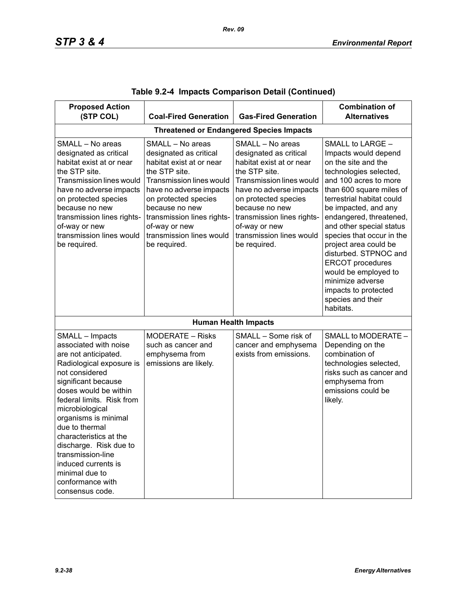| <b>Proposed Action</b>                                                                                                                                                                                                                                                                                                                                                                                            |                                                                                                                                                                                                                                                                                     |                                                                                                                                                                                                                                                                                            | <b>Combination of</b>                                                                                                                                                                                                                                                                                                                                                                                                                                                      |
|-------------------------------------------------------------------------------------------------------------------------------------------------------------------------------------------------------------------------------------------------------------------------------------------------------------------------------------------------------------------------------------------------------------------|-------------------------------------------------------------------------------------------------------------------------------------------------------------------------------------------------------------------------------------------------------------------------------------|--------------------------------------------------------------------------------------------------------------------------------------------------------------------------------------------------------------------------------------------------------------------------------------------|----------------------------------------------------------------------------------------------------------------------------------------------------------------------------------------------------------------------------------------------------------------------------------------------------------------------------------------------------------------------------------------------------------------------------------------------------------------------------|
| (STP COL)                                                                                                                                                                                                                                                                                                                                                                                                         | <b>Coal-Fired Generation</b>                                                                                                                                                                                                                                                        | <b>Gas-Fired Generation</b>                                                                                                                                                                                                                                                                | <b>Alternatives</b>                                                                                                                                                                                                                                                                                                                                                                                                                                                        |
|                                                                                                                                                                                                                                                                                                                                                                                                                   |                                                                                                                                                                                                                                                                                     | <b>Threatened or Endangered Species Impacts</b>                                                                                                                                                                                                                                            |                                                                                                                                                                                                                                                                                                                                                                                                                                                                            |
| SMALL - No areas<br>designated as critical<br>habitat exist at or near<br>the STP site.<br><b>Transmission lines would</b><br>have no adverse impacts<br>on protected species<br>because no new<br>transmission lines rights-<br>of-way or new<br>transmission lines would<br>be required.                                                                                                                        | SMALL - No areas<br>designated as critical<br>habitat exist at or near<br>the STP site.<br>Transmission lines would<br>have no adverse impacts<br>on protected species<br>because no new<br>transmission lines rights-<br>of-way or new<br>transmission lines would<br>be required. | SMALL - No areas<br>designated as critical<br>habitat exist at or near<br>the STP site.<br><b>Transmission lines would</b><br>have no adverse impacts<br>on protected species<br>because no new<br>transmission lines rights-<br>of-way or new<br>transmission lines would<br>be required. | SMALL to LARGE -<br>Impacts would depend<br>on the site and the<br>technologies selected,<br>and 100 acres to more<br>than 600 square miles of<br>terrestrial habitat could<br>be impacted, and any<br>endangered, threatened,<br>and other special status<br>species that occur in the<br>project area could be<br>disturbed. STPNOC and<br><b>ERCOT</b> procedures<br>would be employed to<br>minimize adverse<br>impacts to protected<br>species and their<br>habitats. |
|                                                                                                                                                                                                                                                                                                                                                                                                                   |                                                                                                                                                                                                                                                                                     | <b>Human Health Impacts</b>                                                                                                                                                                                                                                                                |                                                                                                                                                                                                                                                                                                                                                                                                                                                                            |
| SMALL - Impacts<br>associated with noise<br>are not anticipated.<br>Radiological exposure is<br>not considered<br>significant because<br>doses would be within<br>federal limits. Risk from<br>microbiological<br>organisms is minimal<br>due to thermal<br>characteristics at the<br>discharge. Risk due to<br>transmission-line<br>induced currents is<br>minimal due to<br>conformance with<br>consensus code. | MODERATE - Risks<br>such as cancer and<br>emphysema from<br>emissions are likely.                                                                                                                                                                                                   | SMALL - Some risk of<br>cancer and emphysema<br>exists from emissions.                                                                                                                                                                                                                     | SMALL to MODERATE -<br>Depending on the<br>combination of<br>technologies selected,<br>risks such as cancer and<br>emphysema from<br>emissions could be<br>likely.                                                                                                                                                                                                                                                                                                         |

|  |  | Table 9.2-4  Impacts Comparison Detail (Continued) |  |  |
|--|--|----------------------------------------------------|--|--|
|--|--|----------------------------------------------------|--|--|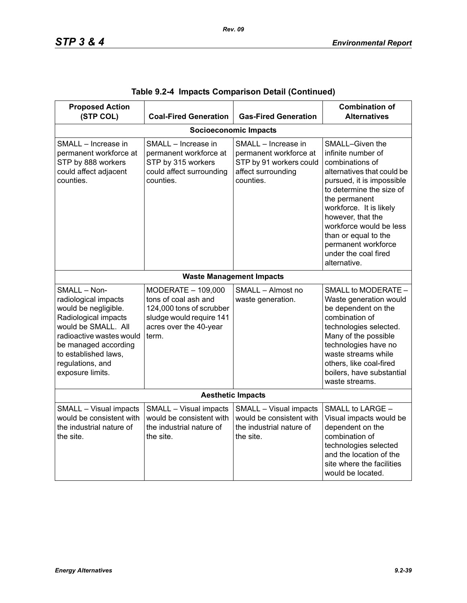| <b>Proposed Action</b><br>(STP COL)                                                                                                                                                                                             | <b>Coal-Fired Generation</b>                                                                                                          | <b>Gas-Fired Generation</b>                                                                                 | <b>Combination of</b><br><b>Alternatives</b>                                                                                                                                                                                                                                                                                       |  |  |  |
|---------------------------------------------------------------------------------------------------------------------------------------------------------------------------------------------------------------------------------|---------------------------------------------------------------------------------------------------------------------------------------|-------------------------------------------------------------------------------------------------------------|------------------------------------------------------------------------------------------------------------------------------------------------------------------------------------------------------------------------------------------------------------------------------------------------------------------------------------|--|--|--|
| <b>Socioeconomic Impacts</b>                                                                                                                                                                                                    |                                                                                                                                       |                                                                                                             |                                                                                                                                                                                                                                                                                                                                    |  |  |  |
| SMALL - Increase in<br>permanent workforce at<br>STP by 888 workers<br>could affect adjacent<br>counties.                                                                                                                       | SMALL - Increase in<br>permanent workforce at<br>STP by 315 workers<br>could affect surrounding<br>counties.                          | SMALL - Increase in<br>permanent workforce at<br>STP by 91 workers could<br>affect surrounding<br>counties. | SMALL-Given the<br>infinite number of<br>combinations of<br>alternatives that could be<br>pursued, it is impossible<br>to determine the size of<br>the permanent<br>workforce. It is likely<br>however, that the<br>workforce would be less<br>than or equal to the<br>permanent workforce<br>under the coal fired<br>alternative. |  |  |  |
|                                                                                                                                                                                                                                 |                                                                                                                                       | <b>Waste Management Impacts</b>                                                                             |                                                                                                                                                                                                                                                                                                                                    |  |  |  |
| SMALL - Non-<br>radiological impacts<br>would be negligible.<br>Radiological impacts<br>would be SMALL. All<br>radioactive wastes would<br>be managed according<br>to established laws,<br>regulations, and<br>exposure limits. | MODERATE - 109,000<br>tons of coal ash and<br>124,000 tons of scrubber<br>sludge would require 141<br>acres over the 40-year<br>term. | SMALL - Almost no<br>waste generation.                                                                      | SMALL to MODERATE -<br>Waste generation would<br>be dependent on the<br>combination of<br>technologies selected.<br>Many of the possible<br>technologies have no<br>waste streams while<br>others, like coal-fired<br>boilers, have substantial<br>waste streams.                                                                  |  |  |  |
| <b>Aesthetic Impacts</b>                                                                                                                                                                                                        |                                                                                                                                       |                                                                                                             |                                                                                                                                                                                                                                                                                                                                    |  |  |  |
| SMALL - Visual impacts<br>would be consistent with<br>the industrial nature of<br>the site.                                                                                                                                     | SMALL - Visual impacts<br>would be consistent with<br>the industrial nature of<br>the site.                                           | SMALL - Visual impacts<br>would be consistent with<br>the industrial nature of<br>the site.                 | SMALL to LARGE -<br>Visual impacts would be<br>dependent on the<br>combination of<br>technologies selected<br>and the location of the<br>site where the facilities<br>would be located.                                                                                                                                            |  |  |  |

|  |  | Table 9.2-4 Impacts Comparison Detail (Continued) |  |  |
|--|--|---------------------------------------------------|--|--|
|--|--|---------------------------------------------------|--|--|